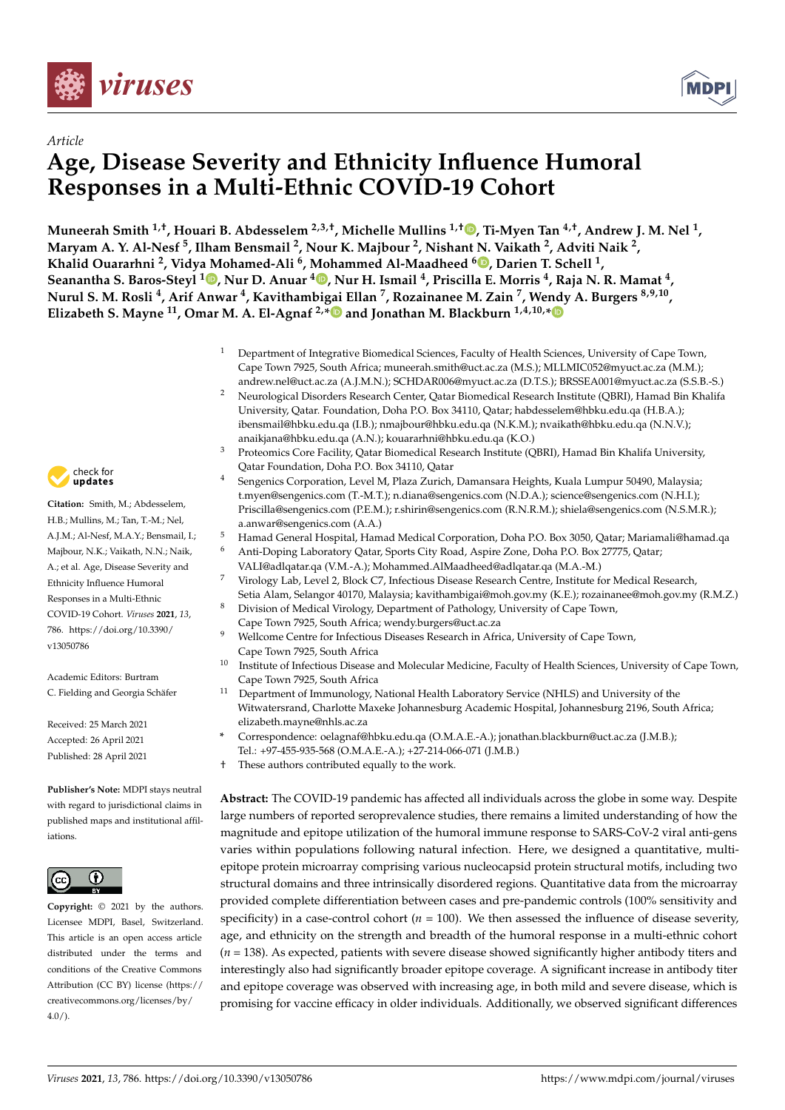

*Article*



# **Age, Disease Severity and Ethnicity Influence Humoral Responses in a Multi-Ethnic COVID-19 Cohort**

**Muneerah Smith 1,†, Houari B. Abdesselem 2,3,†, Michelle Mullins 1,† [,](https://orcid.org/0000-0002-8719-0390) Ti-Myen Tan 4,†, Andrew J. M. Nel <sup>1</sup> ,** Maryam A. Y. Al-Nesf <sup>5</sup>, Ilham Bensmail <sup>2</sup>, Nour K. Majbour <sup>2</sup>, Nishant N. Vaikath <sup>2</sup>, Adviti Naik <sup>2</sup>, **Khalid Ouararhni <sup>2</sup> , Vidya Mohamed-Ali <sup>6</sup> , Mohammed Al-Maadheed <sup>6</sup> [,](https://orcid.org/0000-0001-5517-0128) Darien T. Schell <sup>1</sup> , Seanantha S. Baros-Steyl <sup>1</sup> [,](https://orcid.org/0000-0003-4787-4082) Nur D. Anuar <sup>4</sup> [,](https://orcid.org/0000-0002-8210-6559) Nur H. Ismail <sup>4</sup> , Priscilla E. Morris <sup>4</sup> , Raja N. R. Mamat <sup>4</sup> , Nurul S. M. Rosli <sup>4</sup> , Arif Anwar <sup>4</sup> , Kavithambigai Ellan <sup>7</sup> , Rozainanee M. Zain <sup>7</sup> , Wendy A. Burgers 8,9,10 , Elizabeth S. Mayne <sup>11</sup>, Omar M. A. El-Agnaf 2,[\\*](https://orcid.org/0000-0002-6850-8084) and Jonathan M. Blackburn 1,4,10,[\\*](https://orcid.org/0000-0001-8988-9595)**

- <sup>1</sup> Department of Integrative Biomedical Sciences, Faculty of Health Sciences, University of Cape Town, Cape Town 7925, South Africa; muneerah.smith@uct.ac.za (M.S.); MLLMIC052@myuct.ac.za (M.M.); andrew.nel@uct.ac.za (A.J.M.N.); SCHDAR006@myuct.ac.za (D.T.S.); BRSSEA001@myuct.ac.za (S.S.B.-S.)
- <sup>2</sup> Neurological Disorders Research Center, Qatar Biomedical Research Institute (QBRI), Hamad Bin Khalifa University, Qatar. Foundation, Doha P.O. Box 34110, Qatar; habdesselem@hbku.edu.qa (H.B.A.); ibensmail@hbku.edu.qa (I.B.); nmajbour@hbku.edu.qa (N.K.M.); nvaikath@hbku.edu.qa (N.N.V.); anaikjana@hbku.edu.qa (A.N.); kouararhni@hbku.edu.qa (K.O.)
- <sup>3</sup> Proteomics Core Facility, Qatar Biomedical Research Institute (QBRI), Hamad Bin Khalifa University, Qatar Foundation, Doha P.O. Box 34110, Qatar
- <sup>4</sup> Sengenics Corporation, Level M, Plaza Zurich, Damansara Heights, Kuala Lumpur 50490, Malaysia; t.myen@sengenics.com (T.-M.T.); n.diana@sengenics.com (N.D.A.); science@sengenics.com (N.H.I.); Priscilla@sengenics.com (P.E.M.); r.shirin@sengenics.com (R.N.R.M.); shiela@sengenics.com (N.S.M.R.); a.anwar@sengenics.com (A.A.)
- <sup>5</sup> Hamad General Hospital, Hamad Medical Corporation, Doha P.O. Box 3050, Qatar; Mariamali@hamad.qa
- <sup>6</sup> Anti-Doping Laboratory Qatar, Sports City Road, Aspire Zone, Doha P.O. Box 27775, Qatar; VALI@adlqatar.qa (V.M.-A.); Mohammed.AlMaadheed@adlqatar.qa (M.A.-M.)
- <sup>7</sup> Virology Lab, Level 2, Block C7, Infectious Disease Research Centre, Institute for Medical Research, Setia Alam, Selangor 40170, Malaysia; kavithambigai@moh.gov.my (K.E.); rozainanee@moh.gov.my (R.M.Z.)
- 8 Division of Medical Virology, Department of Pathology, University of Cape Town, Cape Town 7925, South Africa; wendy.burgers@uct.ac.za
- Wellcome Centre for Infectious Diseases Research in Africa, University of Cape Town, Cape Town 7925, South Africa
- <sup>10</sup> Institute of Infectious Disease and Molecular Medicine, Faculty of Health Sciences, University of Cape Town, Cape Town 7925, South Africa
- <sup>11</sup> Department of Immunology, National Health Laboratory Service (NHLS) and University of the Witwatersrand, Charlotte Maxeke Johannesburg Academic Hospital, Johannesburg 2196, South Africa; elizabeth.mayne@nhls.ac.za
	- **\*** Correspondence: oelagnaf@hbku.edu.qa (O.M.A.E.-A.); jonathan.blackburn@uct.ac.za (J.M.B.); Tel.: +97-455-935-568 (O.M.A.E.-A.); +27-214-066-071 (J.M.B.)
- † These authors contributed equally to the work.

**Abstract:** The COVID-19 pandemic has affected all individuals across the globe in some way. Despite large numbers of reported seroprevalence studies, there remains a limited understanding of how the magnitude and epitope utilization of the humoral immune response to SARS-CoV-2 viral anti-gens varies within populations following natural infection. Here, we designed a quantitative, multiepitope protein microarray comprising various nucleocapsid protein structural motifs, including two structural domains and three intrinsically disordered regions. Quantitative data from the microarray provided complete differentiation between cases and pre-pandemic controls (100% sensitivity and specificity) in a case-control cohort  $(n = 100)$ . We then assessed the influence of disease severity, age, and ethnicity on the strength and breadth of the humoral response in a multi-ethnic cohort (*n* = 138). As expected, patients with severe disease showed significantly higher antibody titers and interestingly also had significantly broader epitope coverage. A significant increase in antibody titer and epitope coverage was observed with increasing age, in both mild and severe disease, which is promising for vaccine efficacy in older individuals. Additionally, we observed significant differences



**Citation:** Smith, M.; Abdesselem,  $H. B :$  Mullins,  $M :$  Tan, T-M $:$  Nel, A.J.M.; Al-Nesf, M.A.Y.; Bensmail, I.; Majbour, N.K.; Vaikath, N.N.; Naik, A.; et al. Age, Disease Severity and Ethnicity Influence Humoral Responses in a Multi-Ethnic COVID-19 Cohort. *Viruses* **2021**, *13*, 786. [https://doi.org/10.3390/](https://doi.org/10.3390/v13050786) [v13050786](https://doi.org/10.3390/v13050786)

Academic Editors: Burtram C. Fielding and Georgia Schäfer

Received: 25 March 2021 Accepted: 26 April 2021 Published: 28 April 2021

**Publisher's Note:** MDPI stays neutral with regard to jurisdictional claims in published maps and institutional affiliations.



**Copyright:** © 2021 by the authors. Licensee MDPI, Basel, Switzerland. This article is an open access article distributed under the terms and conditions of the Creative Commons Attribution (CC BY) license (https:/[/](https://creativecommons.org/licenses/by/4.0/) [creativecommons.org/licenses/by/](https://creativecommons.org/licenses/by/4.0/)  $4.0/$ ).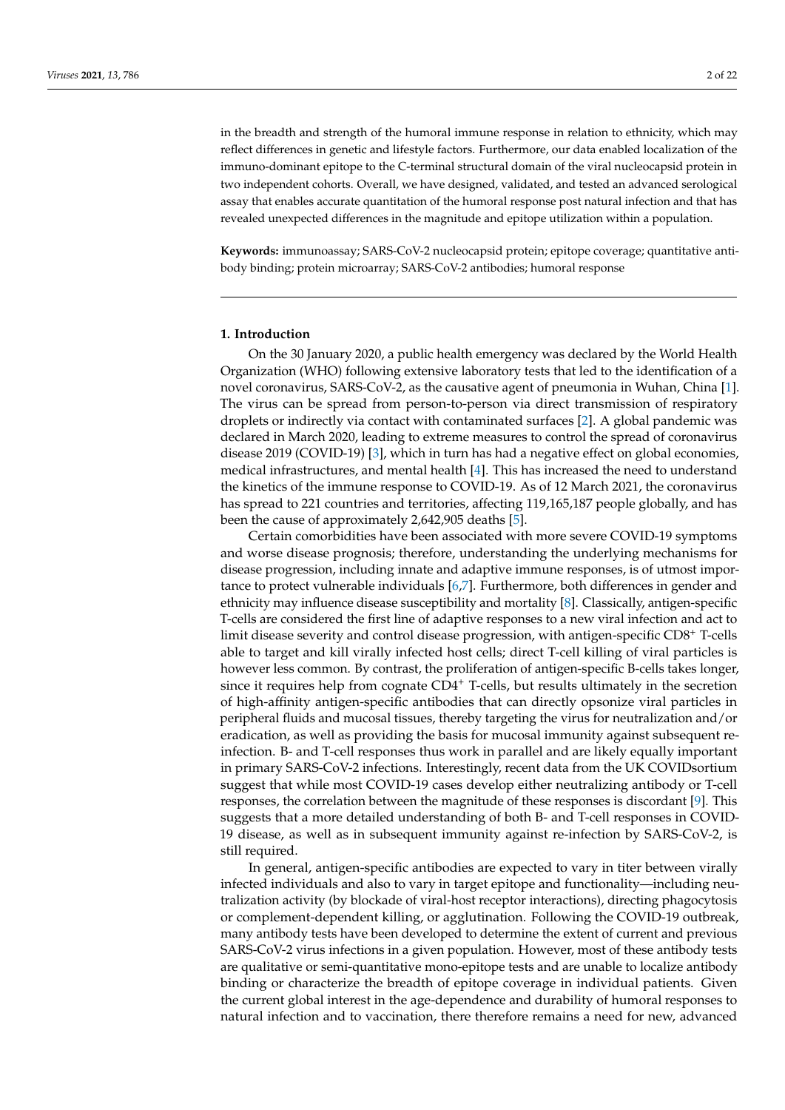in the breadth and strength of the humoral immune response in relation to ethnicity, which may reflect differences in genetic and lifestyle factors. Furthermore, our data enabled localization of the immuno-dominant epitope to the C-terminal structural domain of the viral nucleocapsid protein in two independent cohorts. Overall, we have designed, validated, and tested an advanced serological assay that enables accurate quantitation of the humoral response post natural infection and that has revealed unexpected differences in the magnitude and epitope utilization within a population.

**Keywords:** immunoassay; SARS-CoV-2 nucleocapsid protein; epitope coverage; quantitative antibody binding; protein microarray; SARS-CoV-2 antibodies; humoral response

#### **1. Introduction**

On the 30 January 2020, a public health emergency was declared by the World Health Organization (WHO) following extensive laboratory tests that led to the identification of a novel coronavirus, SARS-CoV-2, as the causative agent of pneumonia in Wuhan, China [\[1\]](#page-19-0). The virus can be spread from person-to-person via direct transmission of respiratory droplets or indirectly via contact with contaminated surfaces [\[2\]](#page-19-1). A global pandemic was declared in March 2020, leading to extreme measures to control the spread of coronavirus disease 2019 (COVID-19) [\[3\]](#page-19-2), which in turn has had a negative effect on global economies, medical infrastructures, and mental health [\[4\]](#page-19-3). This has increased the need to understand the kinetics of the immune response to COVID-19. As of 12 March 2021, the coronavirus has spread to 221 countries and territories, affecting 119,165,187 people globally, and has been the cause of approximately 2,642,905 deaths [\[5\]](#page-19-4).

Certain comorbidities have been associated with more severe COVID-19 symptoms and worse disease prognosis; therefore, understanding the underlying mechanisms for disease progression, including innate and adaptive immune responses, is of utmost importance to protect vulnerable individuals [\[6](#page-19-5)[,7\]](#page-19-6). Furthermore, both differences in gender and ethnicity may influence disease susceptibility and mortality [\[8\]](#page-19-7). Classically, antigen-specific T-cells are considered the first line of adaptive responses to a new viral infection and act to limit disease severity and control disease progression, with antigen-specific CD8<sup>+</sup> T-cells able to target and kill virally infected host cells; direct T-cell killing of viral particles is however less common. By contrast, the proliferation of antigen-specific B-cells takes longer, since it requires help from cognate  $CD4<sup>+</sup>$  T-cells, but results ultimately in the secretion of high-affinity antigen-specific antibodies that can directly opsonize viral particles in peripheral fluids and mucosal tissues, thereby targeting the virus for neutralization and/or eradication, as well as providing the basis for mucosal immunity against subsequent reinfection. B- and T-cell responses thus work in parallel and are likely equally important in primary SARS-CoV-2 infections. Interestingly, recent data from the UK COVIDsortium suggest that while most COVID-19 cases develop either neutralizing antibody or T-cell responses, the correlation between the magnitude of these responses is discordant [\[9\]](#page-19-8). This suggests that a more detailed understanding of both B- and T-cell responses in COVID-19 disease, as well as in subsequent immunity against re-infection by SARS-CoV-2, is still required.

In general, antigen-specific antibodies are expected to vary in titer between virally infected individuals and also to vary in target epitope and functionality—including neutralization activity (by blockade of viral-host receptor interactions), directing phagocytosis or complement-dependent killing, or agglutination. Following the COVID-19 outbreak, many antibody tests have been developed to determine the extent of current and previous SARS-CoV-2 virus infections in a given population. However, most of these antibody tests are qualitative or semi-quantitative mono-epitope tests and are unable to localize antibody binding or characterize the breadth of epitope coverage in individual patients. Given the current global interest in the age-dependence and durability of humoral responses to natural infection and to vaccination, there therefore remains a need for new, advanced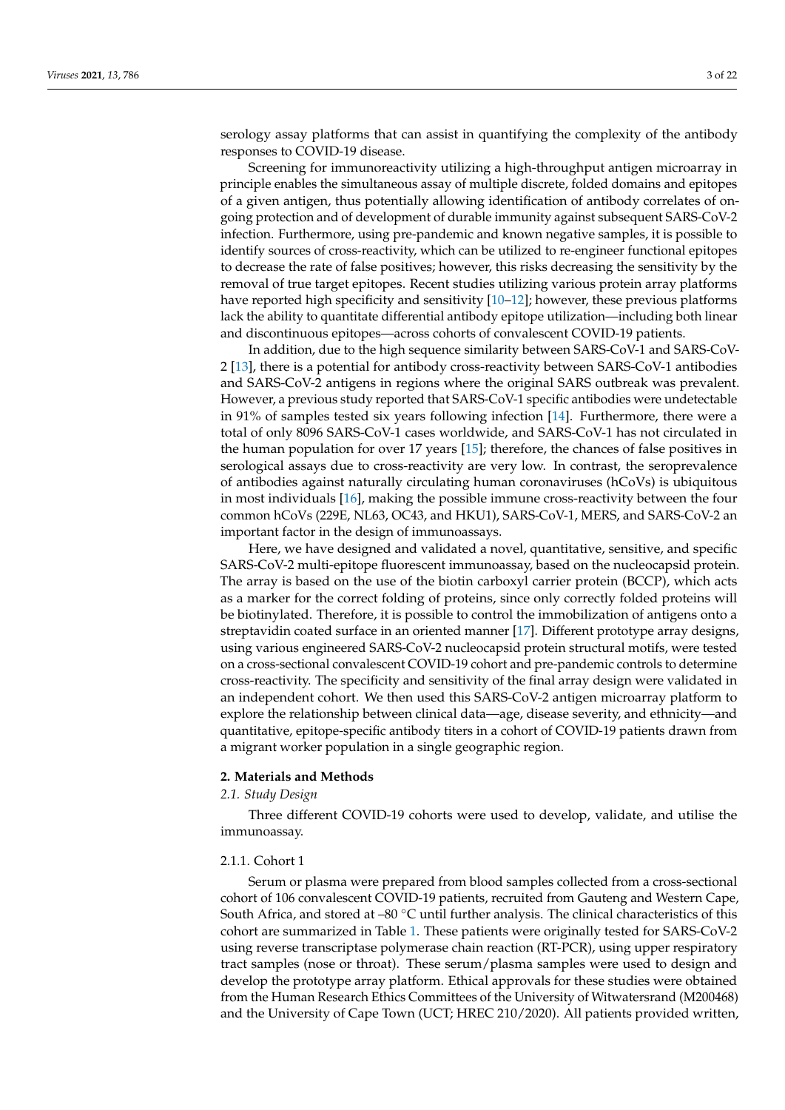serology assay platforms that can assist in quantifying the complexity of the antibody responses to COVID-19 disease.

Screening for immunoreactivity utilizing a high-throughput antigen microarray in principle enables the simultaneous assay of multiple discrete, folded domains and epitopes of a given antigen, thus potentially allowing identification of antibody correlates of ongoing protection and of development of durable immunity against subsequent SARS-CoV-2 infection. Furthermore, using pre-pandemic and known negative samples, it is possible to identify sources of cross-reactivity, which can be utilized to re-engineer functional epitopes to decrease the rate of false positives; however, this risks decreasing the sensitivity by the removal of true target epitopes. Recent studies utilizing various protein array platforms have reported high specificity and sensitivity [10-[12\]](#page-19-10); however, these previous platforms lack the ability to quantitate differential antibody epitope utilization—including both linear and discontinuous epitopes—across cohorts of convalescent COVID-19 patients.

In addition, due to the high sequence similarity between SARS-CoV-1 and SARS-CoV-2 [\[13\]](#page-19-11), there is a potential for antibody cross-reactivity between SARS-CoV-1 antibodies and SARS-CoV-2 antigens in regions where the original SARS outbreak was prevalent. However, a previous study reported that SARS-CoV-1 specific antibodies were undetectable in 91% of samples tested six years following infection [\[14\]](#page-20-0). Furthermore, there were a total of only 8096 SARS-CoV-1 cases worldwide, and SARS-CoV-1 has not circulated in the human population for over 17 years [\[15\]](#page-20-1); therefore, the chances of false positives in serological assays due to cross-reactivity are very low. In contrast, the seroprevalence of antibodies against naturally circulating human coronaviruses (hCoVs) is ubiquitous in most individuals [\[16\]](#page-20-2), making the possible immune cross-reactivity between the four common hCoVs (229E, NL63, OC43, and HKU1), SARS-CoV-1, MERS, and SARS-CoV-2 an important factor in the design of immunoassays.

Here, we have designed and validated a novel, quantitative, sensitive, and specific SARS-CoV-2 multi-epitope fluorescent immunoassay, based on the nucleocapsid protein. The array is based on the use of the biotin carboxyl carrier protein (BCCP), which acts as a marker for the correct folding of proteins, since only correctly folded proteins will be biotinylated. Therefore, it is possible to control the immobilization of antigens onto a streptavidin coated surface in an oriented manner [\[17\]](#page-20-3). Different prototype array designs, using various engineered SARS-CoV-2 nucleocapsid protein structural motifs, were tested on a cross-sectional convalescent COVID-19 cohort and pre-pandemic controls to determine cross-reactivity. The specificity and sensitivity of the final array design were validated in an independent cohort. We then used this SARS-CoV-2 antigen microarray platform to explore the relationship between clinical data—age, disease severity, and ethnicity—and quantitative, epitope-specific antibody titers in a cohort of COVID-19 patients drawn from a migrant worker population in a single geographic region.

#### **2. Materials and Methods**

## *2.1. Study Design*

Three different COVID-19 cohorts were used to develop, validate, and utilise the immunoassay.

#### 2.1.1. Cohort 1

Serum or plasma were prepared from blood samples collected from a cross-sectional cohort of 106 convalescent COVID-19 patients, recruited from Gauteng and Western Cape, South Africa, and stored at –80 ◦C until further analysis. The clinical characteristics of this cohort are summarized in Table [1.](#page-3-0) These patients were originally tested for SARS-CoV-2 using reverse transcriptase polymerase chain reaction (RT-PCR), using upper respiratory tract samples (nose or throat). These serum/plasma samples were used to design and develop the prototype array platform. Ethical approvals for these studies were obtained from the Human Research Ethics Committees of the University of Witwatersrand (M200468) and the University of Cape Town (UCT; HREC 210/2020). All patients provided written,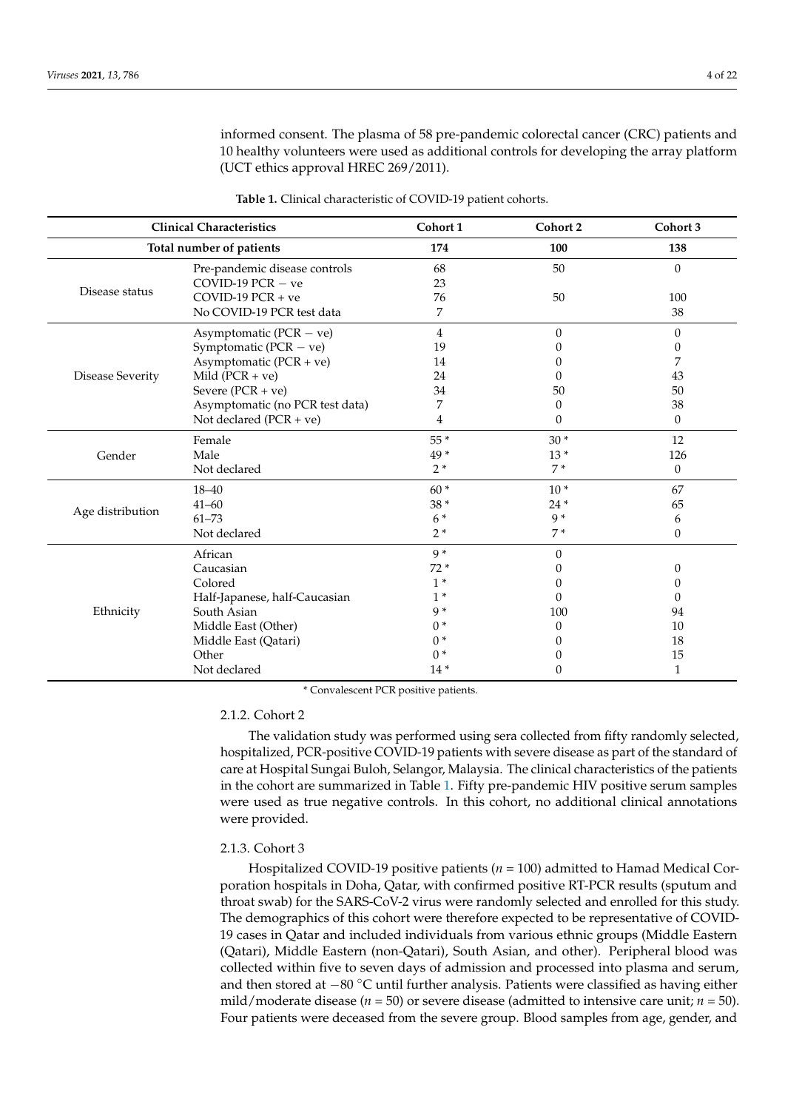informed consent. The plasma of 58 pre-pandemic colorectal cancer (CRC) patients and 10 healthy volunteers were used as additional controls for developing the array platform (UCT ethics approval HREC 269/2011).

<span id="page-3-0"></span>

| <b>Clinical Characteristics</b> |                                 | Cohort 1       | Cohort 2         | Cohort 3         |
|---------------------------------|---------------------------------|----------------|------------------|------------------|
| Total number of patients        |                                 | 174            | 100              | 138              |
|                                 | Pre-pandemic disease controls   | 68             | 50               | $\theta$         |
|                                 | COVID-19 $PCR - ve$             | 23             |                  |                  |
| Disease status                  | $COVID-19$ $PCR + ve$           | 76             | 50               | 100              |
|                                 | No COVID-19 PCR test data       | 7              |                  | 38               |
|                                 | Asymptomatic ( $PCR - ve$ )     | $\overline{4}$ | $\theta$         | $\theta$         |
|                                 | Symptomatic ( $PCR - ve$ )      | 19             | $\mathbf{0}$     | 0                |
|                                 | Asymptomatic (PCR + ve)         | 14             | $\mathbf{0}$     | 7                |
| <b>Disease Severity</b>         | Mild $(PCR + ve)$               | 24             | 0                | 43               |
|                                 | Severe $(PCR + ve)$             | 34             | 50               | 50               |
|                                 | Asymptomatic (no PCR test data) | 7              | 0                | 38               |
|                                 | Not declared $(PCR + ve)$       | 4              | $\Omega$         | $\theta$         |
|                                 | Female                          | 55 *           | $30*$            | 12               |
| Gender                          | Male                            | 49*            | $13*$            | 126              |
|                                 | Not declared                    | $2*$           | $7*$             | $\theta$         |
|                                 | $18 - 40$                       | $60*$          | $10*$            | 67               |
|                                 | $41 - 60$                       | 38 *           | $24*$            | 65               |
| Age distribution                | $61 - 73$                       | $6*$           | $9*$             | 6                |
|                                 | Not declared                    | $2*$           | $7*$             | $\boldsymbol{0}$ |
| Ethnicity                       | African                         | $9*$           | $\Omega$         |                  |
|                                 | Caucasian                       | $72*$          | $\left( \right)$ | $\theta$         |
|                                 | Colored                         | $1*$           | 0                | 0                |
|                                 | Half-Japanese, half-Caucasian   | $1*$           | 0                | 0                |
|                                 | South Asian                     | $9*$           | 100              | 94               |
|                                 | Middle East (Other)             | $0*$           | $\Omega$         | 10               |
|                                 | Middle East (Qatari)            | $0*$           |                  | 18               |
|                                 | Other                           | $0*$           | $\mathbf{0}$     | 15               |
|                                 | Not declared                    | $14*$          | $\Omega$         | 1                |

**Table 1.** Clinical characteristic of COVID-19 patient cohorts.

\* Convalescent PCR positive patients.

## 2.1.2. Cohort 2

The validation study was performed using sera collected from fifty randomly selected, hospitalized, PCR-positive COVID-19 patients with severe disease as part of the standard of care at Hospital Sungai Buloh, Selangor, Malaysia. The clinical characteristics of the patients in the cohort are summarized in Table [1.](#page-3-0) Fifty pre-pandemic HIV positive serum samples were used as true negative controls. In this cohort, no additional clinical annotations were provided.

## 2.1.3. Cohort 3

Hospitalized COVID-19 positive patients (*n* = 100) admitted to Hamad Medical Corporation hospitals in Doha, Qatar, with confirmed positive RT-PCR results (sputum and throat swab) for the SARS-CoV-2 virus were randomly selected and enrolled for this study. The demographics of this cohort were therefore expected to be representative of COVID-19 cases in Qatar and included individuals from various ethnic groups (Middle Eastern (Qatari), Middle Eastern (non-Qatari), South Asian, and other). Peripheral blood was collected within five to seven days of admission and processed into plasma and serum, and then stored at −80 ◦C until further analysis. Patients were classified as having either mild/moderate disease (*n* = 50) or severe disease (admitted to intensive care unit; *n* = 50). Four patients were deceased from the severe group. Blood samples from age, gender, and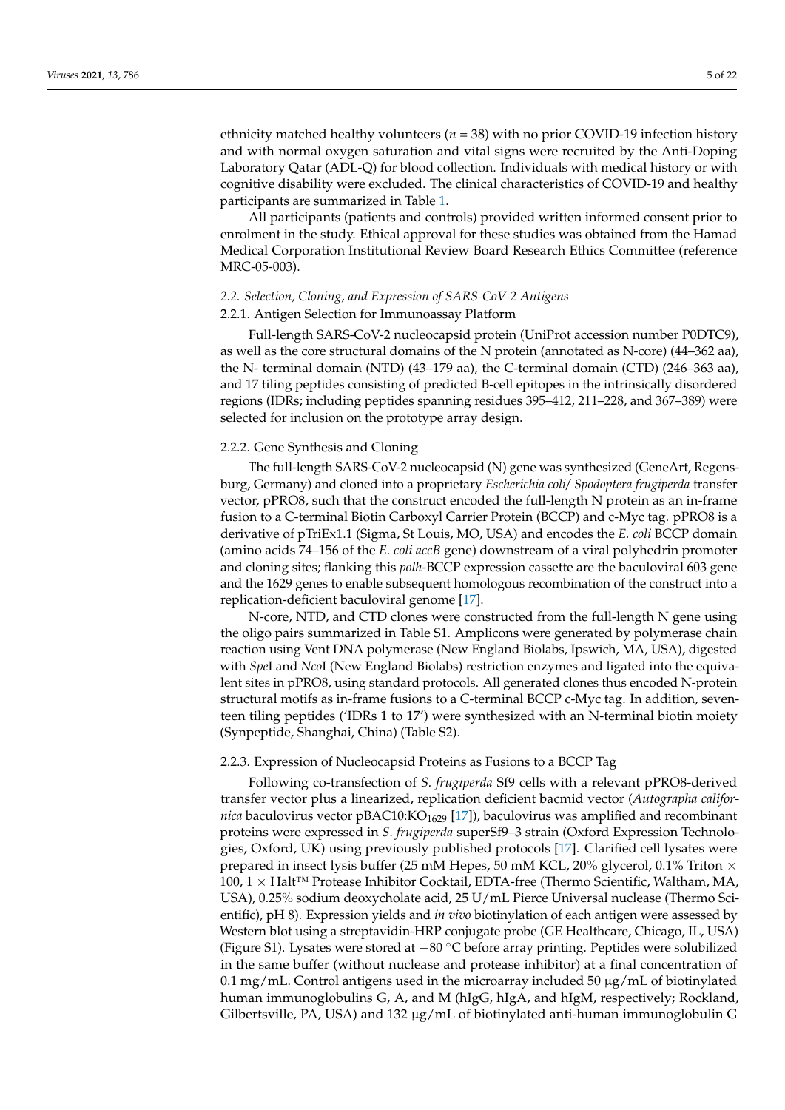ethnicity matched healthy volunteers (*n* = 38) with no prior COVID-19 infection history and with normal oxygen saturation and vital signs were recruited by the Anti-Doping Laboratory Qatar (ADL-Q) for blood collection. Individuals with medical history or with cognitive disability were excluded. The clinical characteristics of COVID-19 and healthy participants are summarized in Table [1.](#page-3-0)

All participants (patients and controls) provided written informed consent prior to enrolment in the study. Ethical approval for these studies was obtained from the Hamad Medical Corporation Institutional Review Board Research Ethics Committee (reference MRC-05-003).

# *2.2. Selection, Cloning, and Expression of SARS-CoV-2 Antigens*

## 2.2.1. Antigen Selection for Immunoassay Platform

Full-length SARS-CoV-2 nucleocapsid protein (UniProt accession number P0DTC9), as well as the core structural domains of the N protein (annotated as N-core) (44–362 aa), the N- terminal domain (NTD) (43–179 aa), the C-terminal domain (CTD) (246–363 aa), and 17 tiling peptides consisting of predicted B-cell epitopes in the intrinsically disordered regions (IDRs; including peptides spanning residues 395–412, 211–228, and 367–389) were selected for inclusion on the prototype array design.

## 2.2.2. Gene Synthesis and Cloning

The full-length SARS-CoV-2 nucleocapsid (N) gene was synthesized (GeneArt, Regensburg, Germany) and cloned into a proprietary *Escherichia coli/ Spodoptera frugiperda* transfer vector, pPRO8, such that the construct encoded the full-length N protein as an in-frame fusion to a C-terminal Biotin Carboxyl Carrier Protein (BCCP) and c-Myc tag. pPRO8 is a derivative of pTriEx1.1 (Sigma, St Louis, MO, USA) and encodes the *E. coli* BCCP domain (amino acids 74–156 of the *E. coli accB* gene) downstream of a viral polyhedrin promoter and cloning sites; flanking this *polh*-BCCP expression cassette are the baculoviral 603 gene and the 1629 genes to enable subsequent homologous recombination of the construct into a replication-deficient baculoviral genome [\[17\]](#page-20-3).

N-core, NTD, and CTD clones were constructed from the full-length N gene using the oligo pairs summarized in Table S1. Amplicons were generated by polymerase chain reaction using Vent DNA polymerase (New England Biolabs, Ipswich, MA, USA), digested with *Spe*I and *Nco*I (New England Biolabs) restriction enzymes and ligated into the equivalent sites in pPRO8, using standard protocols. All generated clones thus encoded N-protein structural motifs as in-frame fusions to a C-terminal BCCP c-Myc tag. In addition, seventeen tiling peptides ('IDRs 1 to 17') were synthesized with an N-terminal biotin moiety (Synpeptide, Shanghai, China) (Table S2).

#### 2.2.3. Expression of Nucleocapsid Proteins as Fusions to a BCCP Tag

Following co-transfection of *S. frugiperda* Sf9 cells with a relevant pPRO8-derived transfer vector plus a linearized, replication deficient bacmid vector (*Autographa californica* baculovirus vector pBAC10:KO<sub>1629</sub> [\[17\]](#page-20-3)), baculovirus was amplified and recombinant proteins were expressed in *S. frugiperda* superSf9–3 strain (Oxford Expression Technologies, Oxford, UK) using previously published protocols [\[17\]](#page-20-3). Clarified cell lysates were prepared in insect lysis buffer (25 mM Hepes, 50 mM KCL, 20% glycerol, 0.1% Triton  $\times$ 100, 1  $\times$  Halt<sup>™</sup> Protease Inhibitor Cocktail, EDTA-free (Thermo Scientific, Waltham, MA, USA), 0.25% sodium deoxycholate acid, 25 U/mL Pierce Universal nuclease (Thermo Scientific), pH 8). Expression yields and *in vivo* biotinylation of each antigen were assessed by Western blot using a streptavidin-HRP conjugate probe (GE Healthcare, Chicago, IL, USA) (Figure S1). Lysates were stored at −<sup>80</sup> ◦C before array printing. Peptides were solubilized in the same buffer (without nuclease and protease inhibitor) at a final concentration of 0.1 mg/mL. Control antigens used in the microarray included 50  $\mu$ g/mL of biotinylated human immunoglobulins G, A, and M (hIgG, hIgA, and hIgM, respectively; Rockland, Gilbertsville, PA, USA) and 132 µg/mL of biotinylated anti-human immunoglobulin G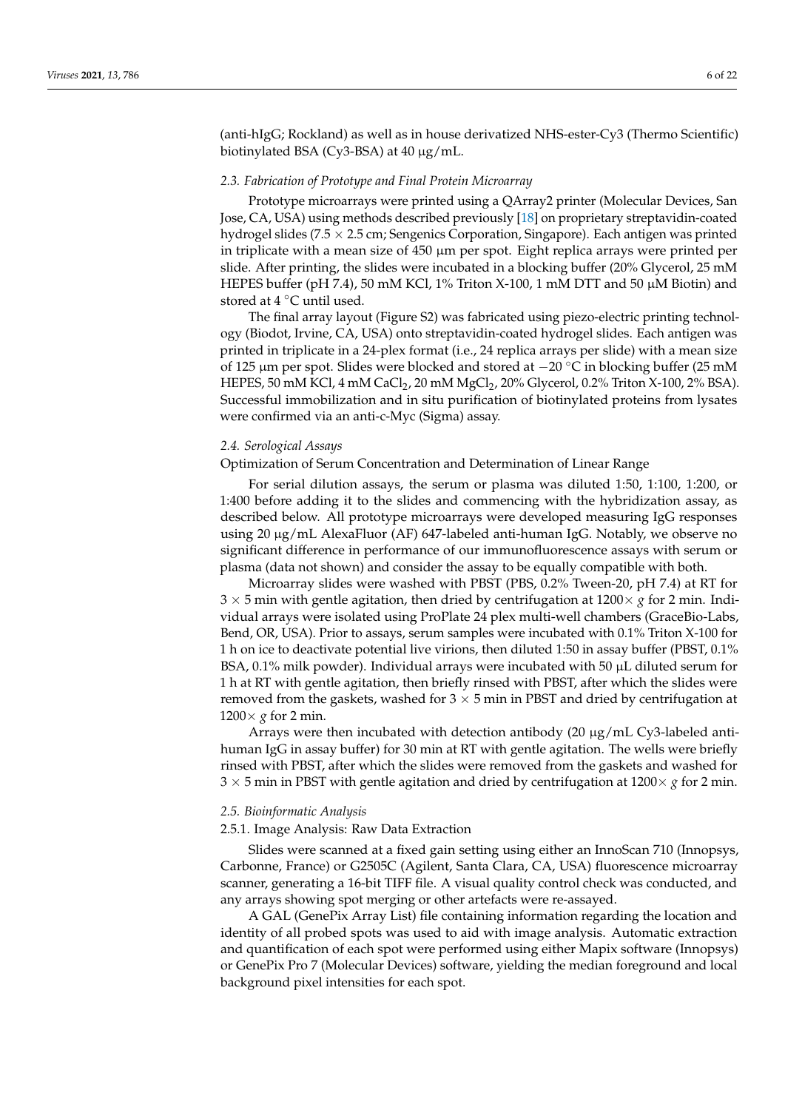(anti-hIgG; Rockland) as well as in house derivatized NHS-ester-Cy3 (Thermo Scientific) biotinylated BSA (Cy3-BSA) at 40 µg/mL.

#### *2.3. Fabrication of Prototype and Final Protein Microarray*

Prototype microarrays were printed using a QArray2 printer (Molecular Devices, San Jose, CA, USA) using methods described previously [\[18\]](#page-20-4) on proprietary streptavidin-coated hydrogel slides (7.5  $\times$  2.5 cm; Sengenics Corporation, Singapore). Each antigen was printed in triplicate with a mean size of 450 µm per spot. Eight replica arrays were printed per slide. After printing, the slides were incubated in a blocking buffer (20% Glycerol, 25 mM HEPES buffer (pH 7.4), 50 mM KCl, 1% Triton X-100, 1 mM DTT and 50  $\mu$ M Biotin) and stored at  $4 °C$  until used.

The final array layout (Figure S2) was fabricated using piezo-electric printing technology (Biodot, Irvine, CA, USA) onto streptavidin-coated hydrogel slides. Each antigen was printed in triplicate in a 24-plex format (i.e., 24 replica arrays per slide) with a mean size of 125 <sup>µ</sup>m per spot. Slides were blocked and stored at −<sup>20</sup> ◦C in blocking buffer (25 mM HEPES, 50 mM KCl, 4 mM CaCl<sub>2</sub>, 20 mM MgCl<sub>2</sub>, 20% Glycerol, 0.2% Triton X-100, 2% BSA). Successful immobilization and in situ purification of biotinylated proteins from lysates were confirmed via an anti-c-Myc (Sigma) assay.

#### *2.4. Serological Assays*

Optimization of Serum Concentration and Determination of Linear Range

For serial dilution assays, the serum or plasma was diluted 1:50, 1:100, 1:200, or 1:400 before adding it to the slides and commencing with the hybridization assay, as described below. All prototype microarrays were developed measuring IgG responses using 20 µg/mL AlexaFluor (AF) 647-labeled anti-human IgG. Notably, we observe no significant difference in performance of our immunofluorescence assays with serum or plasma (data not shown) and consider the assay to be equally compatible with both.

Microarray slides were washed with PBST (PBS, 0.2% Tween-20, pH 7.4) at RT for  $3 \times 5$  min with gentle agitation, then dried by centrifugation at  $1200 \times g$  for 2 min. Individual arrays were isolated using ProPlate 24 plex multi-well chambers (GraceBio-Labs, Bend, OR, USA). Prior to assays, serum samples were incubated with 0.1% Triton X-100 for 1 h on ice to deactivate potential live virions, then diluted 1:50 in assay buffer (PBST, 0.1% BSA, 0.1% milk powder). Individual arrays were incubated with 50 µL diluted serum for 1 h at RT with gentle agitation, then briefly rinsed with PBST, after which the slides were removed from the gaskets, washed for  $3 \times 5$  min in PBST and dried by centrifugation at  $1200 \times g$  for 2 min.

Arrays were then incubated with detection antibody  $(20 \mu g/mL Cy3$ -labeled antihuman IgG in assay buffer) for 30 min at RT with gentle agitation. The wells were briefly rinsed with PBST, after which the slides were removed from the gaskets and washed for  $3 \times 5$  min in PBST with gentle agitation and dried by centrifugation at  $1200 \times g$  for 2 min.

## *2.5. Bioinformatic Analysis*

## 2.5.1. Image Analysis: Raw Data Extraction

Slides were scanned at a fixed gain setting using either an InnoScan 710 (Innopsys, Carbonne, France) or G2505C (Agilent, Santa Clara, CA, USA) fluorescence microarray scanner, generating a 16-bit TIFF file. A visual quality control check was conducted, and any arrays showing spot merging or other artefacts were re-assayed.

A GAL (GenePix Array List) file containing information regarding the location and identity of all probed spots was used to aid with image analysis. Automatic extraction and quantification of each spot were performed using either Mapix software (Innopsys) or GenePix Pro 7 (Molecular Devices) software, yielding the median foreground and local background pixel intensities for each spot.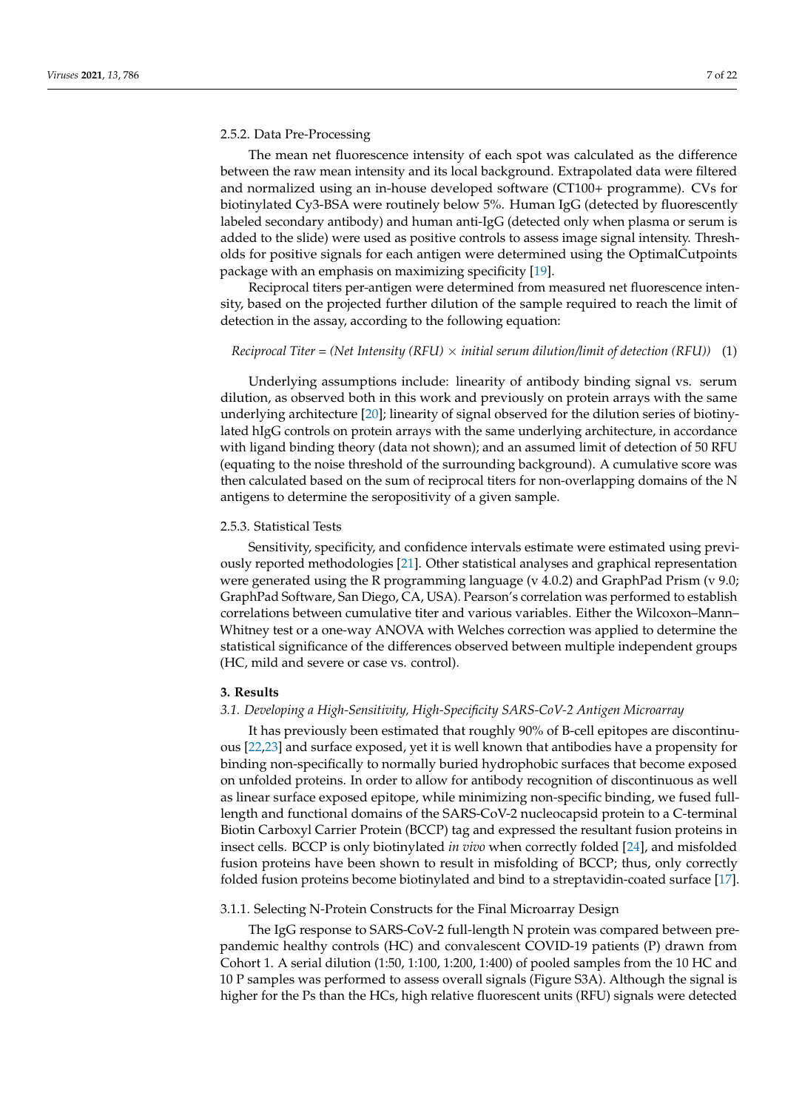#### 2.5.2. Data Pre-Processing

The mean net fluorescence intensity of each spot was calculated as the difference between the raw mean intensity and its local background. Extrapolated data were filtered and normalized using an in-house developed software (CT100+ programme). CVs for biotinylated Cy3-BSA were routinely below 5%. Human IgG (detected by fluorescently labeled secondary antibody) and human anti-IgG (detected only when plasma or serum is added to the slide) were used as positive controls to assess image signal intensity. Thresholds for positive signals for each antigen were determined using the OptimalCutpoints package with an emphasis on maximizing specificity [\[19\]](#page-20-5).

Reciprocal titers per-antigen were determined from measured net fluorescence intensity, based on the projected further dilution of the sample required to reach the limit of detection in the assay, according to the following equation:

## *Reciprocal Titer* = *(Net Intensity (RFU)* × *initial serum dilution/limit of detection (RFU))* (1)

Underlying assumptions include: linearity of antibody binding signal vs. serum dilution, as observed both in this work and previously on protein arrays with the same underlying architecture [\[20\]](#page-20-6); linearity of signal observed for the dilution series of biotinylated hIgG controls on protein arrays with the same underlying architecture, in accordance with ligand binding theory (data not shown); and an assumed limit of detection of 50 RFU (equating to the noise threshold of the surrounding background). A cumulative score was then calculated based on the sum of reciprocal titers for non-overlapping domains of the N antigens to determine the seropositivity of a given sample.

#### 2.5.3. Statistical Tests

Sensitivity, specificity, and confidence intervals estimate were estimated using previously reported methodologies [\[21\]](#page-20-7). Other statistical analyses and graphical representation were generated using the R programming language (v 4.0.2) and GraphPad Prism (v 9.0; GraphPad Software, San Diego, CA, USA). Pearson's correlation was performed to establish correlations between cumulative titer and various variables. Either the Wilcoxon–Mann– Whitney test or a one-way ANOVA with Welches correction was applied to determine the statistical significance of the differences observed between multiple independent groups (HC, mild and severe or case vs. control).

#### **3. Results**

#### *3.1. Developing a High-Sensitivity, High-Specificity SARS-CoV-2 Antigen Microarray*

It has previously been estimated that roughly 90% of B-cell epitopes are discontinuous [\[22,](#page-20-8)[23\]](#page-20-9) and surface exposed, yet it is well known that antibodies have a propensity for binding non-specifically to normally buried hydrophobic surfaces that become exposed on unfolded proteins. In order to allow for antibody recognition of discontinuous as well as linear surface exposed epitope, while minimizing non-specific binding, we fused fulllength and functional domains of the SARS-CoV-2 nucleocapsid protein to a C-terminal Biotin Carboxyl Carrier Protein (BCCP) tag and expressed the resultant fusion proteins in insect cells. BCCP is only biotinylated *in vivo* when correctly folded [\[24\]](#page-20-10), and misfolded fusion proteins have been shown to result in misfolding of BCCP; thus, only correctly folded fusion proteins become biotinylated and bind to a streptavidin-coated surface [\[17\]](#page-20-3).

#### 3.1.1. Selecting N-Protein Constructs for the Final Microarray Design

The IgG response to SARS-CoV-2 full-length N protein was compared between prepandemic healthy controls (HC) and convalescent COVID-19 patients (P) drawn from Cohort 1. A serial dilution (1:50, 1:100, 1:200, 1:400) of pooled samples from the 10 HC and 10 P samples was performed to assess overall signals (Figure S3A). Although the signal is higher for the Ps than the HCs, high relative fluorescent units (RFU) signals were detected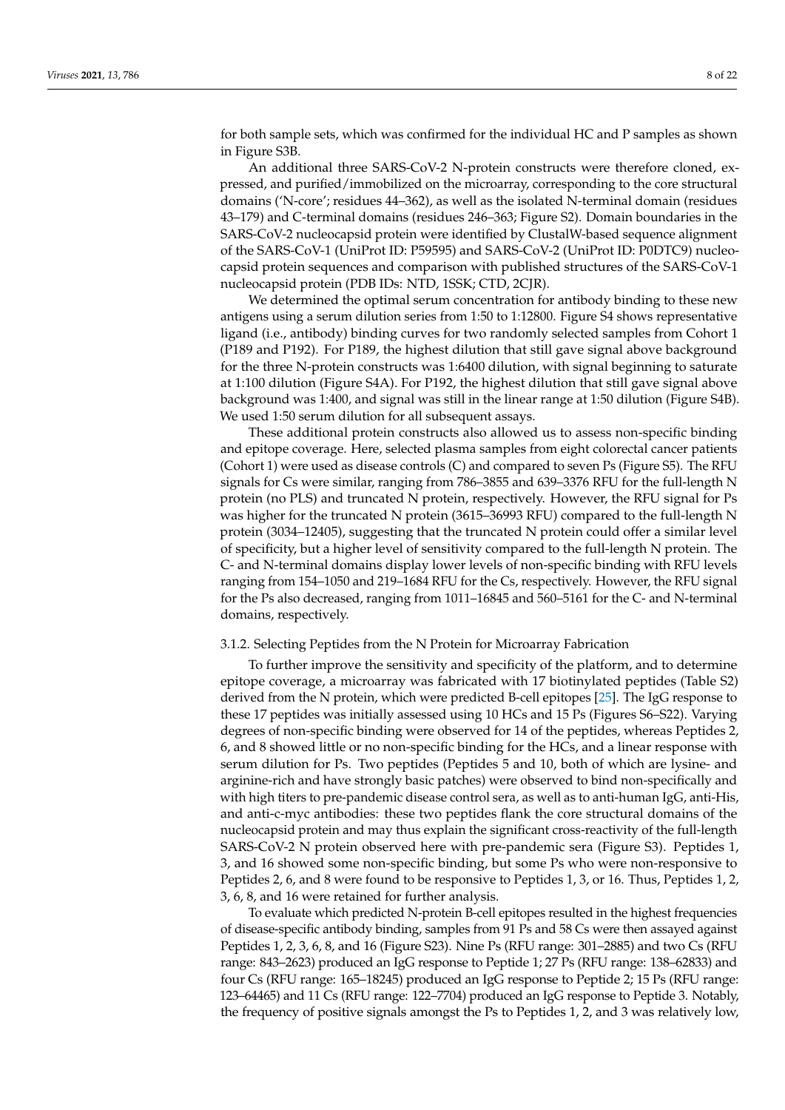for both sample sets, which was confirmed for the individual HC and P samples as shown in Figure S3B.

An additional three SARS-CoV-2 N-protein constructs were therefore cloned, expressed, and purified/immobilized on the microarray, corresponding to the core structural domains ('N-core'; residues 44–362), as well as the isolated N-terminal domain (residues 43–179) and C-terminal domains (residues 246–363; Figure S2). Domain boundaries in the SARS-CoV-2 nucleocapsid protein were identified by ClustalW-based sequence alignment of the SARS-CoV-1 (UniProt ID: P59595) and SARS-CoV-2 (UniProt ID: P0DTC9) nucleocapsid protein sequences and comparison with published structures of the SARS-CoV-1 nucleocapsid protein (PDB IDs: NTD, 1SSK; CTD, 2CJR).

We determined the optimal serum concentration for antibody binding to these new antigens using a serum dilution series from 1:50 to 1:12800. Figure S4 shows representative ligand (i.e., antibody) binding curves for two randomly selected samples from Cohort 1 (P189 and P192). For P189, the highest dilution that still gave signal above background for the three N-protein constructs was 1:6400 dilution, with signal beginning to saturate at 1:100 dilution (Figure S4A). For P192, the highest dilution that still gave signal above background was 1:400, and signal was still in the linear range at 1:50 dilution (Figure S4B). We used 1:50 serum dilution for all subsequent assays.

These additional protein constructs also allowed us to assess non-specific binding and epitope coverage. Here, selected plasma samples from eight colorectal cancer patients (Cohort 1) were used as disease controls (C) and compared to seven Ps (Figure S5). The RFU signals for Cs were similar, ranging from 786–3855 and 639–3376 RFU for the full-length N protein (no PLS) and truncated N protein, respectively. However, the RFU signal for Ps was higher for the truncated N protein (3615–36993 RFU) compared to the full-length N protein (3034–12405), suggesting that the truncated N protein could offer a similar level of specificity, but a higher level of sensitivity compared to the full-length N protein. The C- and N-terminal domains display lower levels of non-specific binding with RFU levels ranging from 154–1050 and 219–1684 RFU for the Cs, respectively. However, the RFU signal for the Ps also decreased, ranging from 1011–16845 and 560–5161 for the C- and N-terminal domains, respectively.

## 3.1.2. Selecting Peptides from the N Protein for Microarray Fabrication

To further improve the sensitivity and specificity of the platform, and to determine epitope coverage, a microarray was fabricated with 17 biotinylated peptides (Table S2) derived from the N protein, which were predicted B-cell epitopes [\[25\]](#page-20-11). The IgG response to these 17 peptides was initially assessed using 10 HCs and 15 Ps (Figures S6–S22). Varying degrees of non-specific binding were observed for 14 of the peptides, whereas Peptides 2, 6, and 8 showed little or no non-specific binding for the HCs, and a linear response with serum dilution for Ps. Two peptides (Peptides 5 and 10, both of which are lysine- and arginine-rich and have strongly basic patches) were observed to bind non-specifically and with high titers to pre-pandemic disease control sera, as well as to anti-human IgG, anti-His, and anti-c-myc antibodies: these two peptides flank the core structural domains of the nucleocapsid protein and may thus explain the significant cross-reactivity of the full-length SARS-CoV-2 N protein observed here with pre-pandemic sera (Figure S3). Peptides 1, 3, and 16 showed some non-specific binding, but some Ps who were non-responsive to Peptides 2, 6, and 8 were found to be responsive to Peptides 1, 3, or 16. Thus, Peptides 1, 2, 3, 6, 8, and 16 were retained for further analysis.

To evaluate which predicted N-protein B-cell epitopes resulted in the highest frequencies of disease-specific antibody binding, samples from 91 Ps and 58 Cs were then assayed against Peptides 1, 2, 3, 6, 8, and 16 (Figure S23). Nine Ps (RFU range: 301–2885) and two Cs (RFU range: 843–2623) produced an IgG response to Peptide 1; 27 Ps (RFU range: 138–62833) and four Cs (RFU range: 165–18245) produced an IgG response to Peptide 2; 15 Ps (RFU range: 123–64465) and 11 Cs (RFU range: 122–7704) produced an IgG response to Peptide 3. Notably, the frequency of positive signals amongst the Ps to Peptides 1, 2, and 3 was relatively low,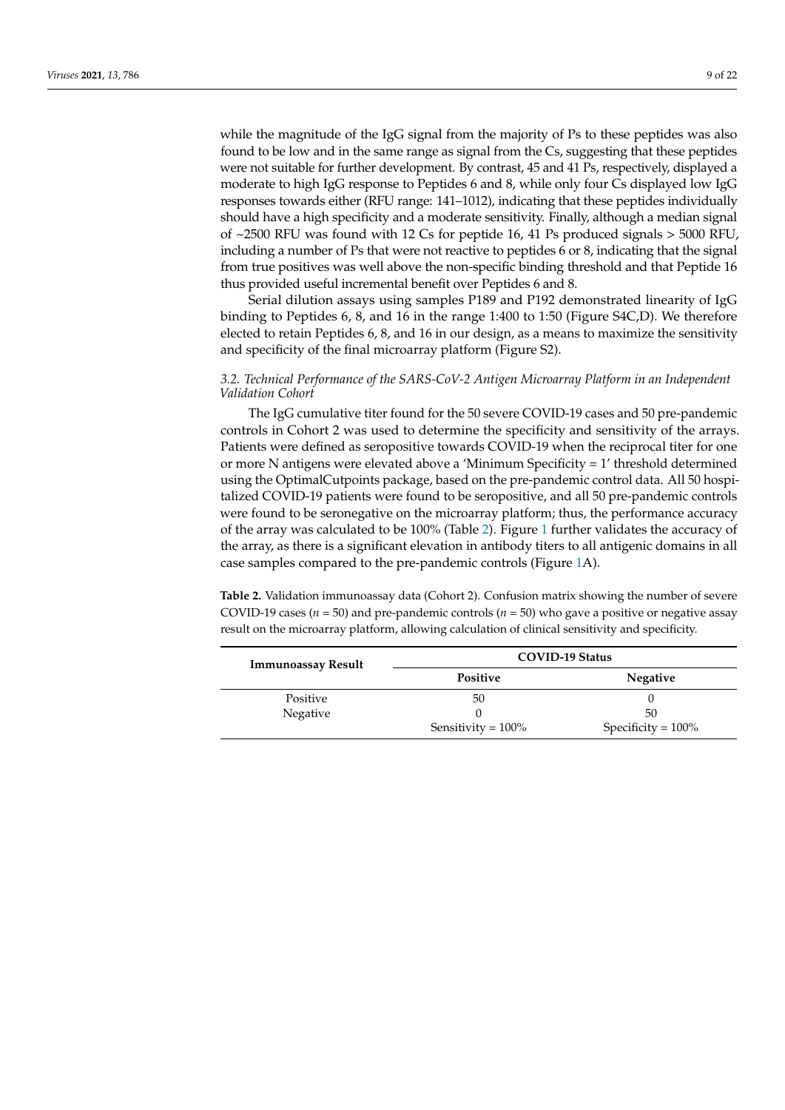while the magnitude of the IgG signal from the majority of Ps to these peptides was also found to be low and in the same range as signal from the Cs, suggesting that these peptides were not suitable for further development. By contrast, 45 and 41 Ps, respectively, displayed a moderate to high IgG response to Peptides 6 and 8, while only four Cs displayed low IgG responses towards either (RFU range: 141–1012), indicating that these peptides individually should have a high specificity and a moderate sensitivity. Finally, although a median signal of ~2500 RFU was found with 12 Cs for peptide 16, 41 Ps produced signals > 5000 RFU, including a number of Ps that were not reactive to peptides 6 or 8, indicating that the signal from true positives was well above the non-specific binding threshold and that Peptide 16 thus provided useful incremental benefit over Peptides 6 and 8.

Serial dilution assays using samples P189 and P192 demonstrated linearity of IgG binding to Peptides 6, 8, and 16 in the range 1:400 to 1:50 (Figure S4C,D). We therefore elected to retain Peptides 6, 8, and 16 in our design, as a means to maximize the sensitivity and specificity of the final microarray platform (Figure S2).

## *3.2. Technical Performance of the SARS-CoV-2 Antigen Microarray Platform in an Independent Validation Cohort*

The IgG cumulative titer found for the 50 severe COVID-19 cases and 50 pre-pandemic controls in Cohort 2 was used to determine the specificity and sensitivity of the arrays. Patients were defined as seropositive towards COVID-19 when the reciprocal titer for one or more N antigens were elevated above a 'Minimum Specificity = 1' threshold determined using the OptimalCutpoints package, based on the pre-pandemic control data. All 50 hospitalized COVID-19 patients were found to be seropositive, and all 50 pre-pandemic controls were found to be seronegative on the microarray platform; thus, the performance accuracy of the array was calculated to be 100% (Table [2\)](#page-8-0). Figure [1](#page-9-0) further validates the accuracy of the array, as there is a significant elevation in antibody titers to all antigenic domains in all case samples compared to the pre-pandemic controls (Figure [1A](#page-9-0)).

<span id="page-8-0"></span>**Table 2.** Validation immunoassay data (Cohort 2). Confusion matrix showing the number of severe COVID-19 cases ( $n = 50$ ) and pre-pandemic controls ( $n = 50$ ) who gave a positive or negative assay result on the microarray platform, allowing calculation of clinical sensitivity and specificity.

| <b>Immunoassay Result</b> | <b>COVID-19 Status</b> |                       |  |
|---------------------------|------------------------|-----------------------|--|
|                           | <b>Positive</b>        | <b>Negative</b>       |  |
| Positive                  | 50                     |                       |  |
| Negative                  |                        | 50                    |  |
|                           | Sensitivity = $100\%$  | Specificity = $100\%$ |  |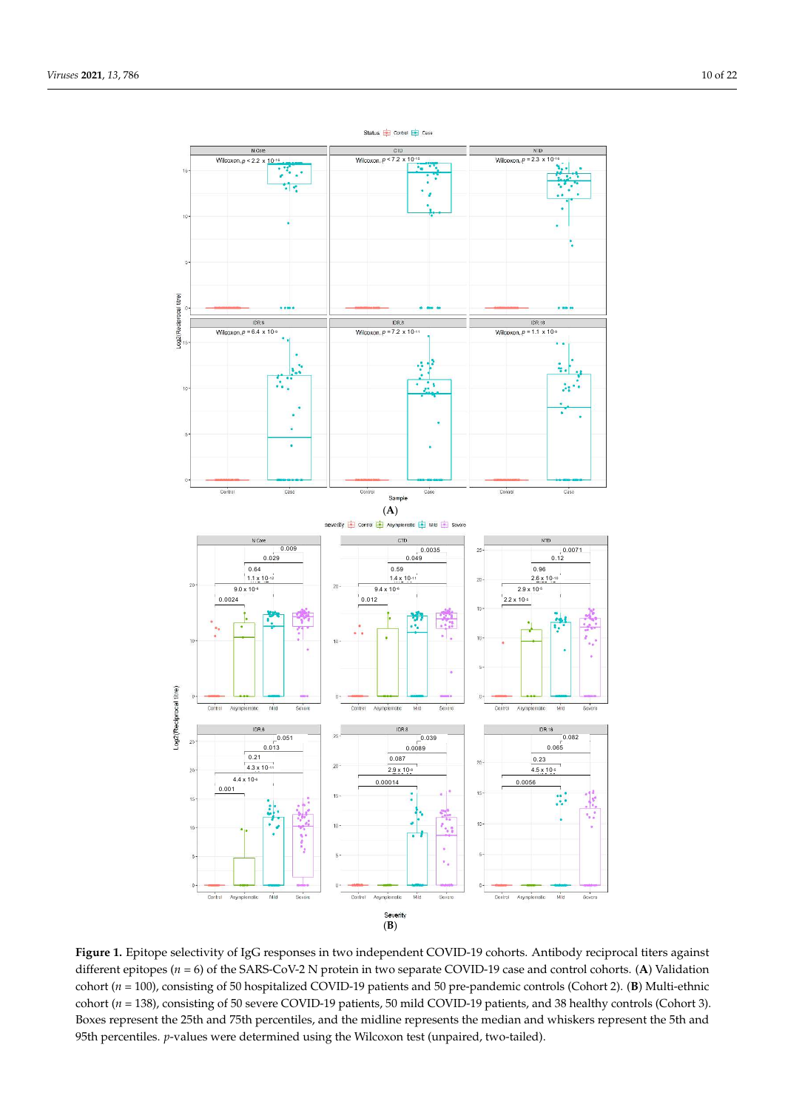<span id="page-9-0"></span>

**Figure 1.** Epitope selectivity of IgG responses in two independent COVID-19 cohorts. Antibody reciprocal titers against different epitopes (*n* = 6) of the SARS-CoV-2 N protein in two separate COVID-19 case and control cohorts. (**A**) Validation cohort (*n* = 100), consisting of 50 hospitalized COVID-19 patients and 50 pre-pandemic controls (Cohort 2). (**B**) Multi-ethnic cohort (*n* = 138), consisting of 50 severe COVID-19 patients, 50 mild COVID-19 patients, and 38 healthy controls (Cohort 3). Boxes represent the 25th and 75th percentiles, and the midline represents the median and whiskers represent the 5th and 95th percentiles. *p*-values were determined using the Wilcoxon test (unpaired, two-tailed).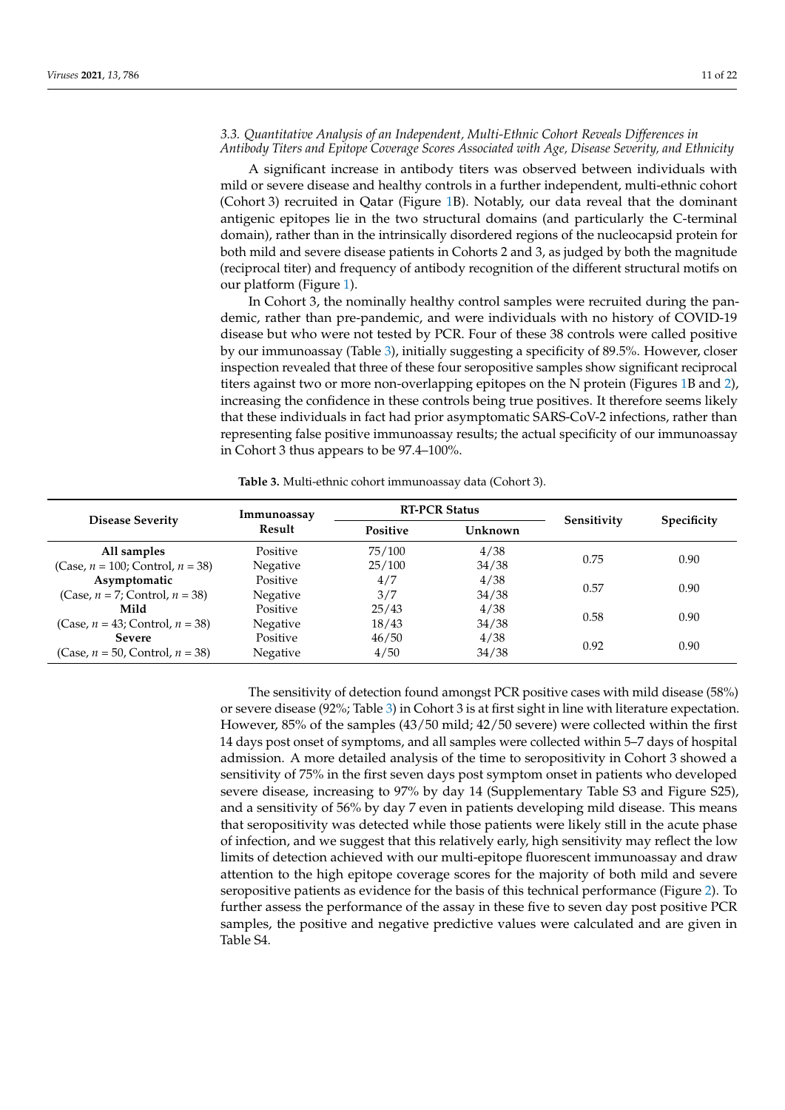## *3.3. Quantitative Analysis of an Independent, Multi-Ethnic Cohort Reveals Differences in Antibody Titers and Epitope Coverage Scores Associated with Age, Disease Severity, and Ethnicity*

A significant increase in antibody titers was observed between individuals with mild or severe disease and healthy controls in a further independent, multi-ethnic cohort (Cohort 3) recruited in Qatar (Figure [1B](#page-9-0)). Notably, our data reveal that the dominant antigenic epitopes lie in the two structural domains (and particularly the C-terminal domain), rather than in the intrinsically disordered regions of the nucleocapsid protein for both mild and severe disease patients in Cohorts 2 and 3, as judged by both the magnitude (reciprocal titer) and frequency of antibody recognition of the different structural motifs on our platform (Figure [1\)](#page-9-0).

In Cohort 3, the nominally healthy control samples were recruited during the pandemic, rather than pre-pandemic, and were individuals with no history of COVID-19 disease but who were not tested by PCR. Four of these 38 controls were called positive by our immunoassay (Table [3\)](#page-10-0), initially suggesting a specificity of 89.5%. However, closer inspection revealed that three of these four seropositive samples show significant reciprocal titers against two or more non-overlapping epitopes on the N protein (Figures [1B](#page-9-0) and [2\)](#page-11-0), increasing the confidence in these controls being true positives. It therefore seems likely that these individuals in fact had prior asymptomatic SARS-CoV-2 infections, rather than representing false positive immunoassay results; the actual specificity of our immunoassay in Cohort 3 thus appears to be 97.4–100%.

**Table 3.** Multi-ethnic cohort immunoassay data (Cohort 3).

<span id="page-10-0"></span>

|                                        | Immunoassay | <b>RT-PCR Status</b> |         |             |                    |
|----------------------------------------|-------------|----------------------|---------|-------------|--------------------|
| <b>Disease Severity</b>                | Result      | <b>Positive</b>      | Unknown | Sensitivity | <b>Specificity</b> |
| All samples                            | Positive    | 75/100               | 4/38    |             | 0.90               |
| (Case, $n = 100$ ; Control, $n = 38$ ) | Negative    | 25/100               | 34/38   | 0.75        |                    |
| Asymptomatic                           | Positive    | 4/7                  | 4/38    |             | 0.90               |
| $(Case, n = 7; Control, n = 38)$       | Negative    | 3/7                  | 34/38   | 0.57        |                    |
| Mild                                   | Positive    | 25/43                | 4/38    |             |                    |
| (Case, $n = 43$ ; Control, $n = 38$ )  | Negative    | 18/43                | 34/38   | 0.58        | 0.90               |
| <b>Severe</b>                          | Positive    | 46/50                | 4/38    |             |                    |
| (Case, $n = 50$ , Control, $n = 38$ )  | Negative    | 4/50                 | 34/38   | 0.92        | 0.90               |

The sensitivity of detection found amongst PCR positive cases with mild disease (58%) or severe disease (92%; Table [3\)](#page-10-0) in Cohort 3 is at first sight in line with literature expectation. However, 85% of the samples (43/50 mild; 42/50 severe) were collected within the first 14 days post onset of symptoms, and all samples were collected within 5–7 days of hospital admission. A more detailed analysis of the time to seropositivity in Cohort 3 showed a sensitivity of 75% in the first seven days post symptom onset in patients who developed severe disease, increasing to 97% by day 14 (Supplementary Table S3 and Figure S25), and a sensitivity of 56% by day 7 even in patients developing mild disease. This means that seropositivity was detected while those patients were likely still in the acute phase of infection, and we suggest that this relatively early, high sensitivity may reflect the low limits of detection achieved with our multi-epitope fluorescent immunoassay and draw attention to the high epitope coverage scores for the majority of both mild and severe seropositive patients as evidence for the basis of this technical performance (Figure [2\)](#page-11-0). To further assess the performance of the assay in these five to seven day post positive PCR samples, the positive and negative predictive values were calculated and are given in Table S4.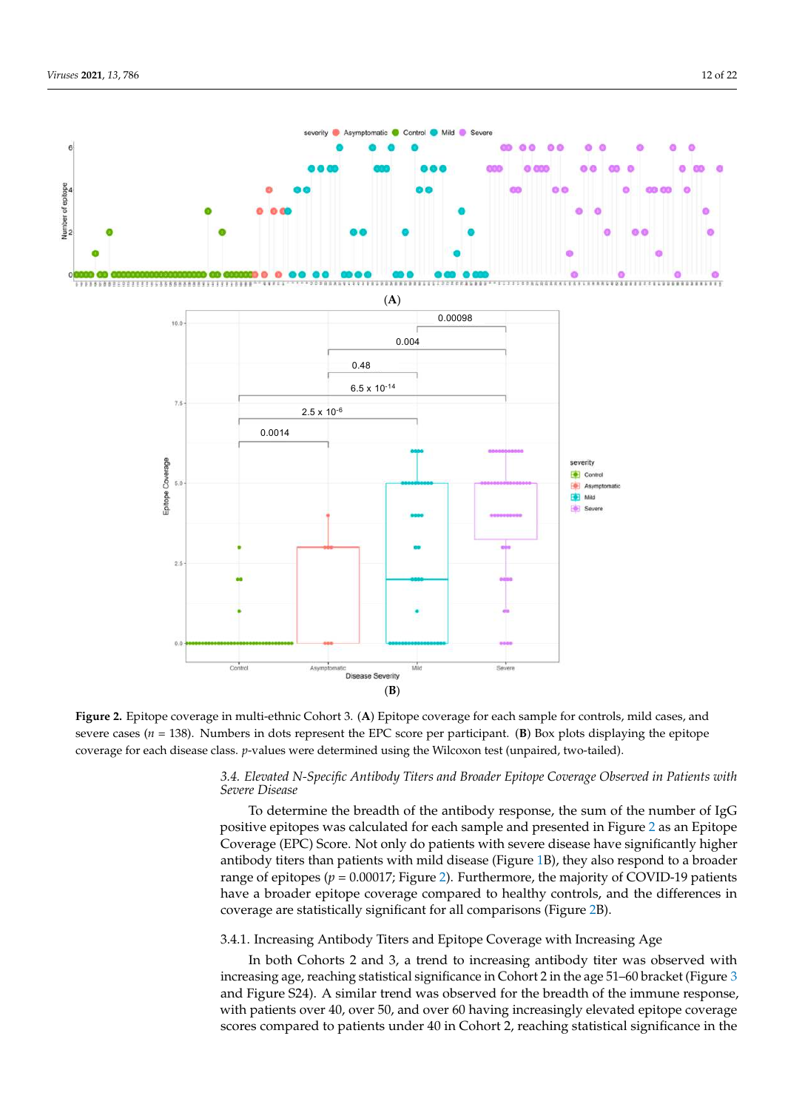<span id="page-11-0"></span>

**Figure 2.** Epitope coverage in multi-ethnic Cohort 3. (**A**) Epitope coverage for each sample for controls, mild cases, and severe cases ( $n = 138$ ). Numbers in dots represent the EPC score per participant. (**B**) Box plots displaying the epitope coverage for each disease class. *p*-values were determined using the Wilcoxon test (unpaired, two-tailed).

## *3.4. Elevated N-Specific Antibody Titers and Broader Epitope Coverage Observed in Patients with Severe Disease*

To determine the breadth of the antibody response, the sum of the number of IgG positive epitopes was calculated for each sample and presented in Figure [2](#page-11-0) as an Epitope Coverage (EPC) Score. Not only do patients with severe disease have significantly higher antibody titers than patients with mild disease (Figure [1B](#page-9-0)), they also respond to a broader range of epitopes ( $p = 0.00017$ ; Figure [2\)](#page-11-0). Furthermore, the majority of COVID-19 patients have a broader epitope coverage compared to healthy controls, and the differences in coverage are statistically significant for all comparisons (Figure [2B](#page-11-0)).

## 3.4.1. Increasing Antibody Titers and Epitope Coverage with Increasing Age

In both Cohorts 2 and 3, a trend to increasing antibody titer was observed with increasing age, reaching statistical significance in Cohort 2 in the age 51–60 bracket (Figure [3](#page-12-0) and Figure S24). A similar trend was observed for the breadth of the immune response, with patients over 40, over 50, and over 60 having increasingly elevated epitope coverage scores compared to patients under 40 in Cohort 2, reaching statistical significance in the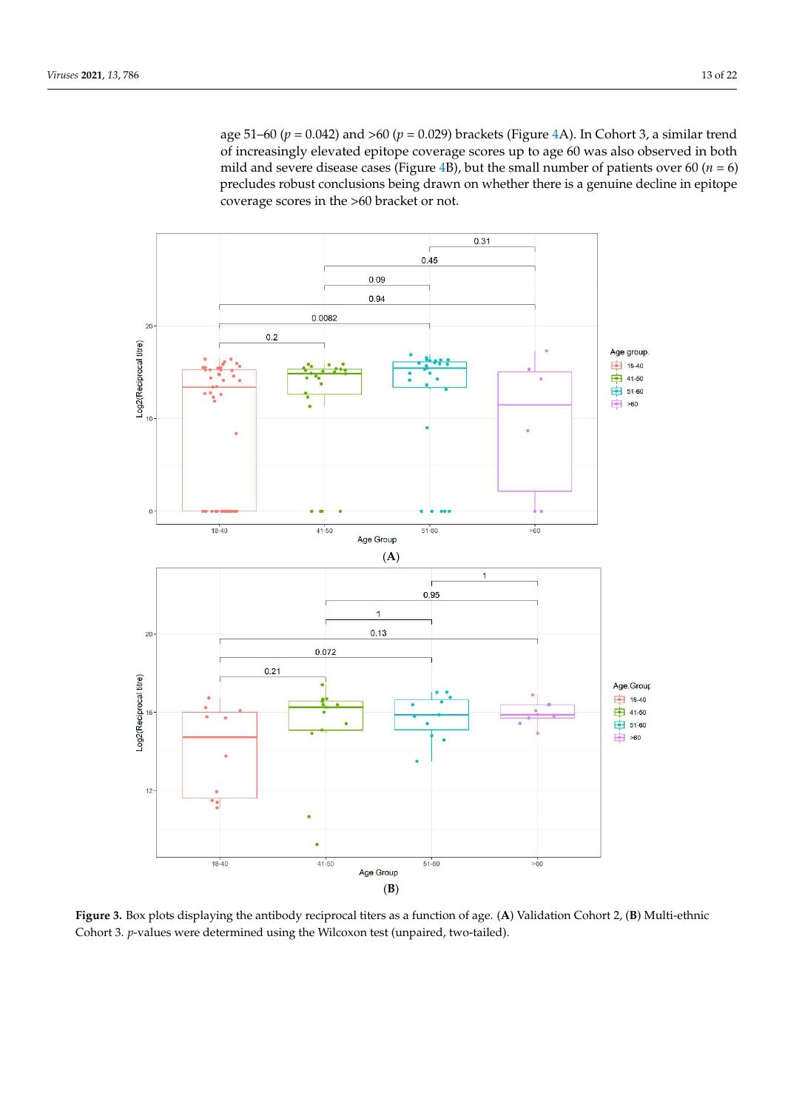age 51–60 (*p* = 0.042) and >60 (*p* = 0.029) brackets (Figure [4A](#page-13-0)). In Cohort 3, a similar trend of increasingly elevated epitope coverage scores up to age 60 was also observed in both mild and severe disease cases (Figure [4B](#page-13-0)), but the small number of patients over 60 ( $n = 6$ ) precludes robust conclusions being drawn on whether there is a genuine decline in epitope coverage scores in the >60 bracket or not.

<span id="page-12-0"></span>

**Figure 3.** Box plots displaying the antibody reciprocal titers as a function of age. (**A**) Validation Cohort 2, (**B**) Multi-ethnic Cohort 3. *p*-values were determined using the Wilcoxon test (unpaired, two-tailed).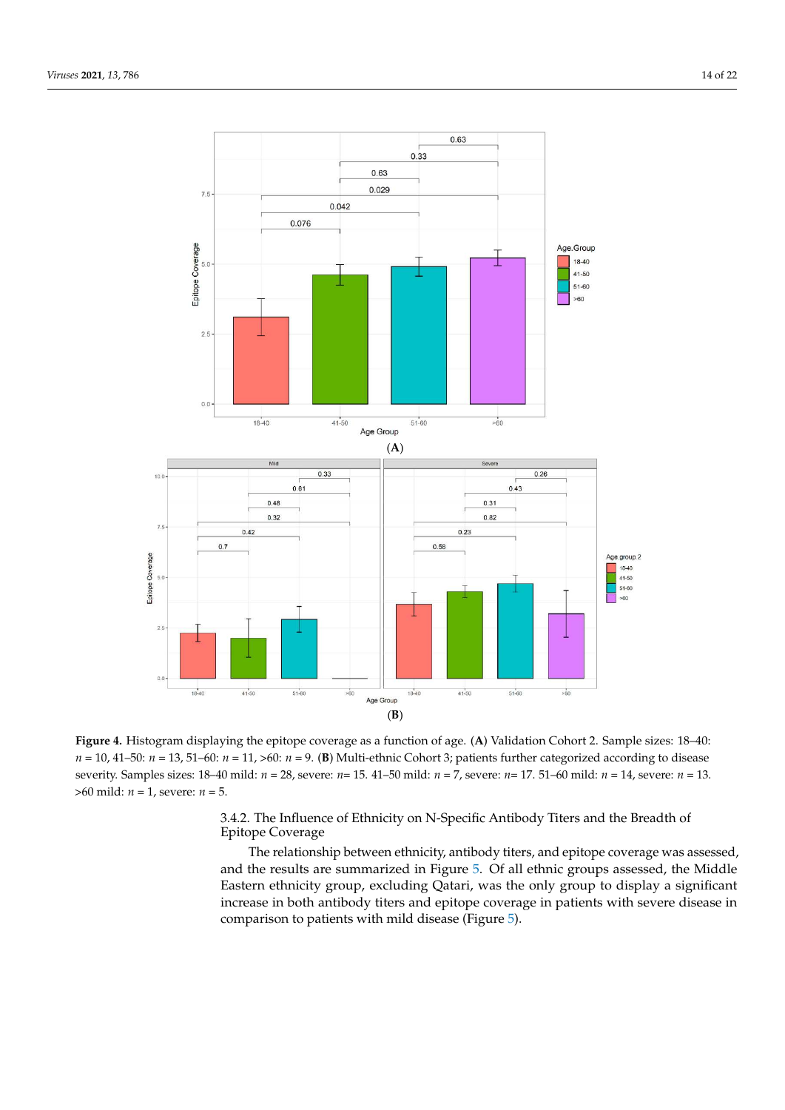<span id="page-13-0"></span>

**Figure 4.** Histogram displaying the epitope coverage as a function of age. (**A**) Validation Cohort 2. Sample sizes: 18–40:  $n = 10, 41–50$ :  $n = 13, 51–60$ :  $n = 11, >60$ :  $n = 9$ . (B) Multi-ethnic Cohort 3; patients further categorized according to disease severity. Samples sizes: 18–40 mild: *n* = 28, severe: *n*= 15. 41–50 mild: *n* = 7, severe: *n*= 17. 51–60 mild: *n* = 14, severe: *n* = 13. >60 mild: *n* = 1, severe: *n* = 5.

3.4.2. The Influence of Ethnicity on N-Specific Antibody Titers and the Breadth of Epitope Coverage

The relationship between ethnicity, antibody titers, and epitope coverage was assessed, and the results are summarized in Figure [5.](#page-14-0) Of all ethnic groups assessed, the Middle Eastern ethnicity group, excluding Qatari, was the only group to display a significant increase in both antibody titers and epitope coverage in patients with severe disease in comparison to patients with mild disease (Figure [5\)](#page-14-0).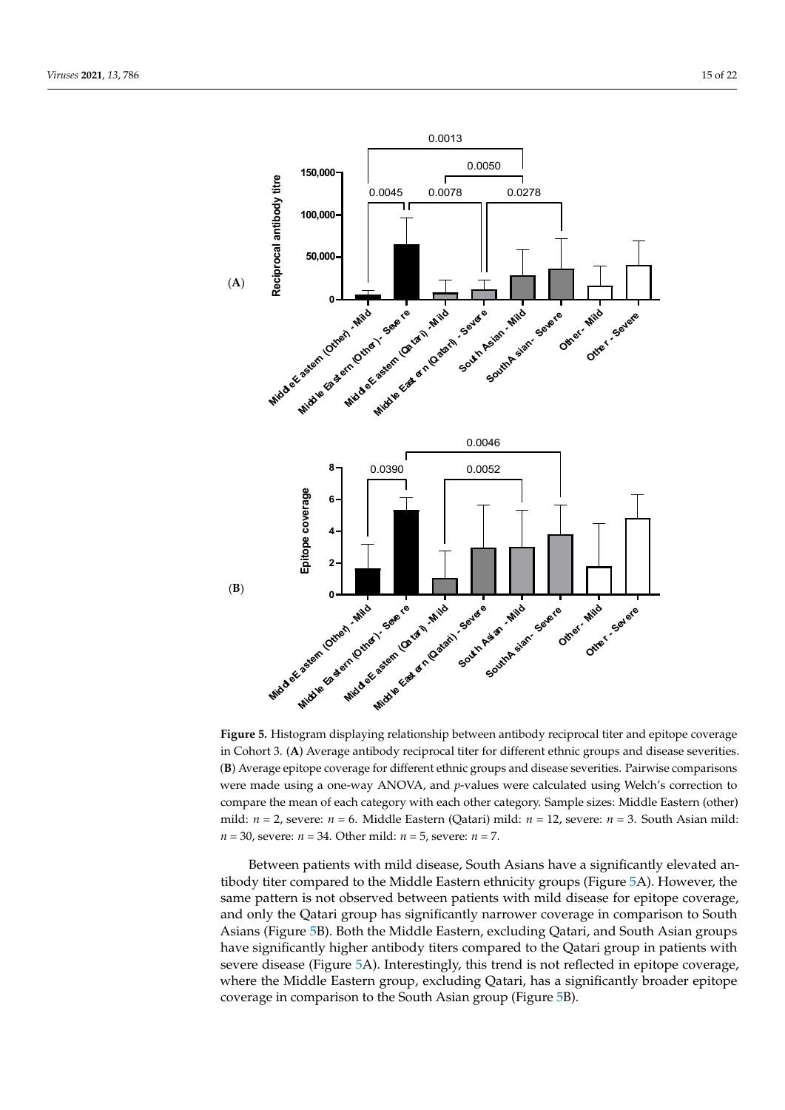<span id="page-14-0"></span>

**Figure 5.** Histogram displaying relationship between antibody reciprocal titer and epitope coverage in Cohort 3. (**A**) Average antibody reciprocal titer for different ethnic groups and disease severities. (**B**) Average epitope coverage for different ethnic groups and disease severities. Pairwise comparisons were made using a one-way ANOVA, and *p*-values were calculated using Welch's correction to compare the mean of each category with each other category. Sample sizes: Middle Eastern (other) mild: *n* = 2, severe: *n* = 6. Middle Eastern (Qatari) mild: *n* = 12, severe: *n* = 3. South Asian mild: *n* = 30, severe: *n* = 34. Other mild: *n* = 5, severe: *n* = 7.

Between patients with mild disease, South Asians have a significantly elevated antibody titer compared to the Middle Eastern ethnicity groups (Figure [5A](#page-14-0)). However, the same pattern is not observed between patients with mild disease for epitope coverage, and only the Qatari group has significantly narrower coverage in comparison to South Asians (Figure [5B](#page-14-0)). Both the Middle Eastern, excluding Qatari, and South Asian groups have significantly higher antibody titers compared to the Qatari group in patients with severe disease (Figure [5A](#page-14-0)). Interestingly, this trend is not reflected in epitope coverage, where the Middle Eastern group, excluding Qatari, has a significantly broader epitope coverage in comparison to the South Asian group (Figure [5B](#page-14-0)).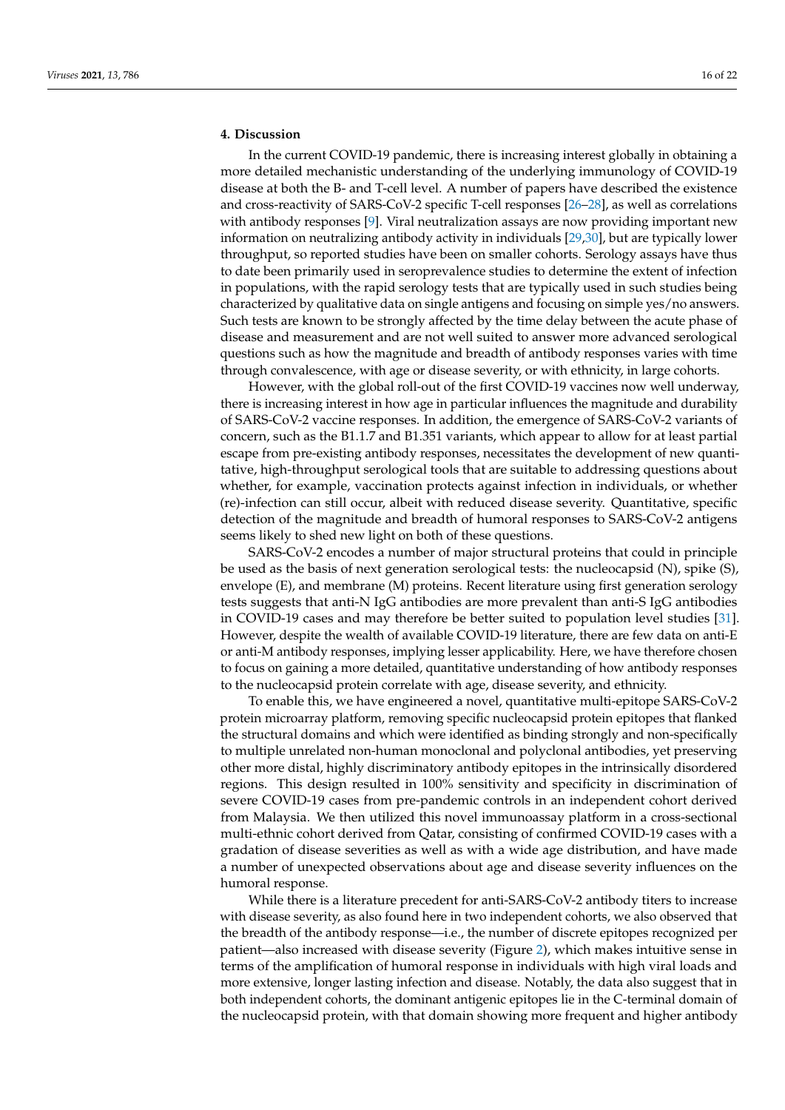## **4. Discussion**

In the current COVID-19 pandemic, there is increasing interest globally in obtaining a more detailed mechanistic understanding of the underlying immunology of COVID-19 disease at both the B- and T-cell level. A number of papers have described the existence and cross-reactivity of SARS-CoV-2 specific T-cell responses [\[26](#page-20-12)[–28\]](#page-20-13), as well as correlations with antibody responses [\[9\]](#page-19-8). Viral neutralization assays are now providing important new information on neutralizing antibody activity in individuals [\[29](#page-20-14)[,30\]](#page-20-15), but are typically lower throughput, so reported studies have been on smaller cohorts. Serology assays have thus to date been primarily used in seroprevalence studies to determine the extent of infection in populations, with the rapid serology tests that are typically used in such studies being characterized by qualitative data on single antigens and focusing on simple yes/no answers. Such tests are known to be strongly affected by the time delay between the acute phase of disease and measurement and are not well suited to answer more advanced serological questions such as how the magnitude and breadth of antibody responses varies with time through convalescence, with age or disease severity, or with ethnicity, in large cohorts.

However, with the global roll-out of the first COVID-19 vaccines now well underway, there is increasing interest in how age in particular influences the magnitude and durability of SARS-CoV-2 vaccine responses. In addition, the emergence of SARS-CoV-2 variants of concern, such as the B1.1.7 and B1.351 variants, which appear to allow for at least partial escape from pre-existing antibody responses, necessitates the development of new quantitative, high-throughput serological tools that are suitable to addressing questions about whether, for example, vaccination protects against infection in individuals, or whether (re)-infection can still occur, albeit with reduced disease severity. Quantitative, specific detection of the magnitude and breadth of humoral responses to SARS-CoV-2 antigens seems likely to shed new light on both of these questions.

SARS-CoV-2 encodes a number of major structural proteins that could in principle be used as the basis of next generation serological tests: the nucleocapsid (N), spike (S), envelope (E), and membrane (M) proteins. Recent literature using first generation serology tests suggests that anti-N IgG antibodies are more prevalent than anti-S IgG antibodies in COVID-19 cases and may therefore be better suited to population level studies [\[31\]](#page-20-16). However, despite the wealth of available COVID-19 literature, there are few data on anti-E or anti-M antibody responses, implying lesser applicability. Here, we have therefore chosen to focus on gaining a more detailed, quantitative understanding of how antibody responses to the nucleocapsid protein correlate with age, disease severity, and ethnicity.

To enable this, we have engineered a novel, quantitative multi-epitope SARS-CoV-2 protein microarray platform, removing specific nucleocapsid protein epitopes that flanked the structural domains and which were identified as binding strongly and non-specifically to multiple unrelated non-human monoclonal and polyclonal antibodies, yet preserving other more distal, highly discriminatory antibody epitopes in the intrinsically disordered regions. This design resulted in 100% sensitivity and specificity in discrimination of severe COVID-19 cases from pre-pandemic controls in an independent cohort derived from Malaysia. We then utilized this novel immunoassay platform in a cross-sectional multi-ethnic cohort derived from Qatar, consisting of confirmed COVID-19 cases with a gradation of disease severities as well as with a wide age distribution, and have made a number of unexpected observations about age and disease severity influences on the humoral response.

While there is a literature precedent for anti-SARS-CoV-2 antibody titers to increase with disease severity, as also found here in two independent cohorts, we also observed that the breadth of the antibody response—i.e., the number of discrete epitopes recognized per patient—also increased with disease severity (Figure [2\)](#page-11-0), which makes intuitive sense in terms of the amplification of humoral response in individuals with high viral loads and more extensive, longer lasting infection and disease. Notably, the data also suggest that in both independent cohorts, the dominant antigenic epitopes lie in the C-terminal domain of the nucleocapsid protein, with that domain showing more frequent and higher antibody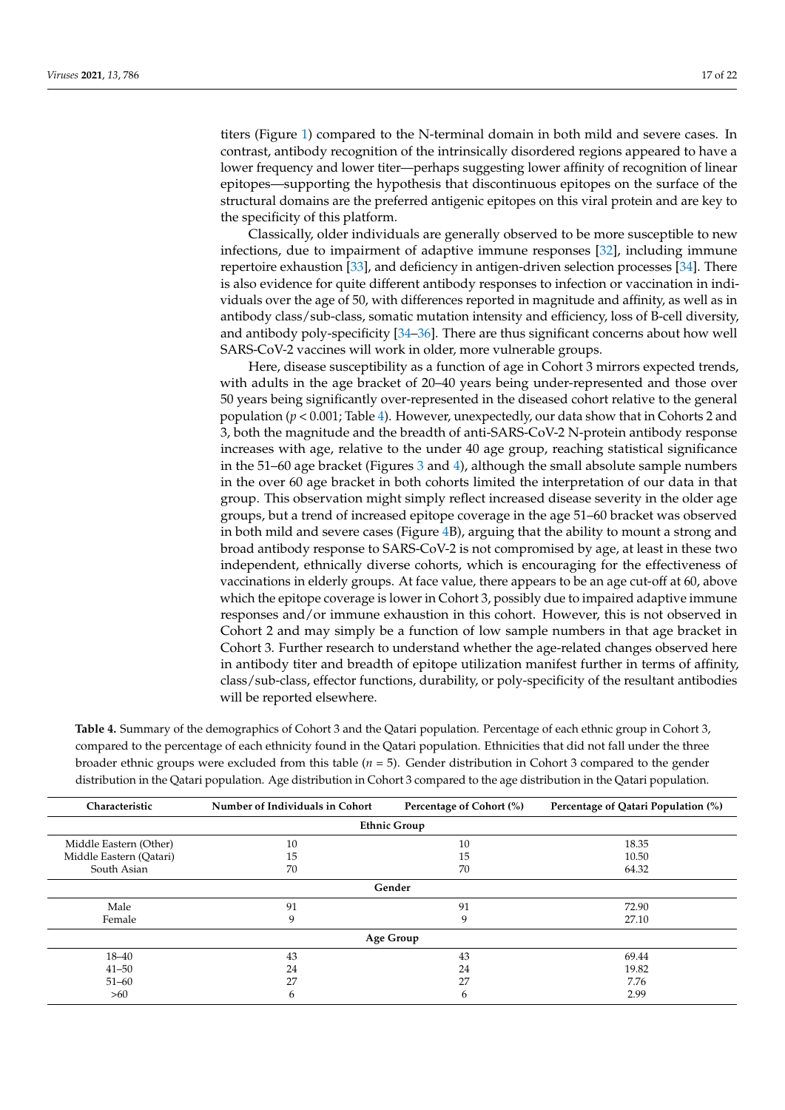titers (Figure [1\)](#page-9-0) compared to the N-terminal domain in both mild and severe cases. In contrast, antibody recognition of the intrinsically disordered regions appeared to have a lower frequency and lower titer—perhaps suggesting lower affinity of recognition of linear epitopes—supporting the hypothesis that discontinuous epitopes on the surface of the structural domains are the preferred antigenic epitopes on this viral protein and are key to the specificity of this platform.

Classically, older individuals are generally observed to be more susceptible to new infections, due to impairment of adaptive immune responses [\[32\]](#page-20-17), including immune repertoire exhaustion [\[33\]](#page-20-18), and deficiency in antigen-driven selection processes [\[34\]](#page-20-19). There is also evidence for quite different antibody responses to infection or vaccination in individuals over the age of 50, with differences reported in magnitude and affinity, as well as in antibody class/sub-class, somatic mutation intensity and efficiency, loss of B-cell diversity, and antibody poly-specificity [\[34–](#page-20-19)[36\]](#page-20-20). There are thus significant concerns about how well SARS-CoV-2 vaccines will work in older, more vulnerable groups.

Here, disease susceptibility as a function of age in Cohort 3 mirrors expected trends, with adults in the age bracket of 20–40 years being under-represented and those over 50 years being significantly over-represented in the diseased cohort relative to the general population (*p* < 0.001; Table [4\)](#page-16-0). However, unexpectedly, our data show that in Cohorts 2 and 3, both the magnitude and the breadth of anti-SARS-CoV-2 N-protein antibody response increases with age, relative to the under 40 age group, reaching statistical significance in the 51–60 age bracket (Figures [3](#page-12-0) and [4\)](#page-13-0), although the small absolute sample numbers in the over 60 age bracket in both cohorts limited the interpretation of our data in that group. This observation might simply reflect increased disease severity in the older age groups, but a trend of increased epitope coverage in the age 51–60 bracket was observed in both mild and severe cases (Figure [4B](#page-13-0)), arguing that the ability to mount a strong and broad antibody response to SARS-CoV-2 is not compromised by age, at least in these two independent, ethnically diverse cohorts, which is encouraging for the effectiveness of vaccinations in elderly groups. At face value, there appears to be an age cut-off at 60, above which the epitope coverage is lower in Cohort 3, possibly due to impaired adaptive immune responses and/or immune exhaustion in this cohort. However, this is not observed in Cohort 2 and may simply be a function of low sample numbers in that age bracket in Cohort 3. Further research to understand whether the age-related changes observed here in antibody titer and breadth of epitope utilization manifest further in terms of affinity, class/sub-class, effector functions, durability, or poly-specificity of the resultant antibodies will be reported elsewhere.

<span id="page-16-0"></span>**Table 4.** Summary of the demographics of Cohort 3 and the Qatari population. Percentage of each ethnic group in Cohort 3, compared to the percentage of each ethnicity found in the Qatari population. Ethnicities that did not fall under the three broader ethnic groups were excluded from this table (*n* = 5). Gender distribution in Cohort 3 compared to the gender distribution in the Qatari population. Age distribution in Cohort 3 compared to the age distribution in the Qatari population.

| Characteristic          | Number of Individuals in Cohort | Percentage of Cohort (%) | Percentage of Qatari Population (%) |  |  |  |
|-------------------------|---------------------------------|--------------------------|-------------------------------------|--|--|--|
| <b>Ethnic Group</b>     |                                 |                          |                                     |  |  |  |
| Middle Eastern (Other)  | 10                              | 10                       | 18.35                               |  |  |  |
| Middle Eastern (Qatari) | 15                              | 15                       | 10.50                               |  |  |  |
| South Asian             | 70                              | 70                       | 64.32                               |  |  |  |
| Gender                  |                                 |                          |                                     |  |  |  |
| Male                    | 91                              | 91                       | 72.90                               |  |  |  |
| Female                  | 9                               | 9                        | 27.10                               |  |  |  |
| Age Group               |                                 |                          |                                     |  |  |  |
| $18 - 40$               | 43                              | 43                       | 69.44                               |  |  |  |
| $41 - 50$               | 24                              | 24                       | 19.82                               |  |  |  |
| $51 - 60$               | 27                              | 27                       | 7.76                                |  |  |  |
| >60                     | 6                               | 6                        | 2.99                                |  |  |  |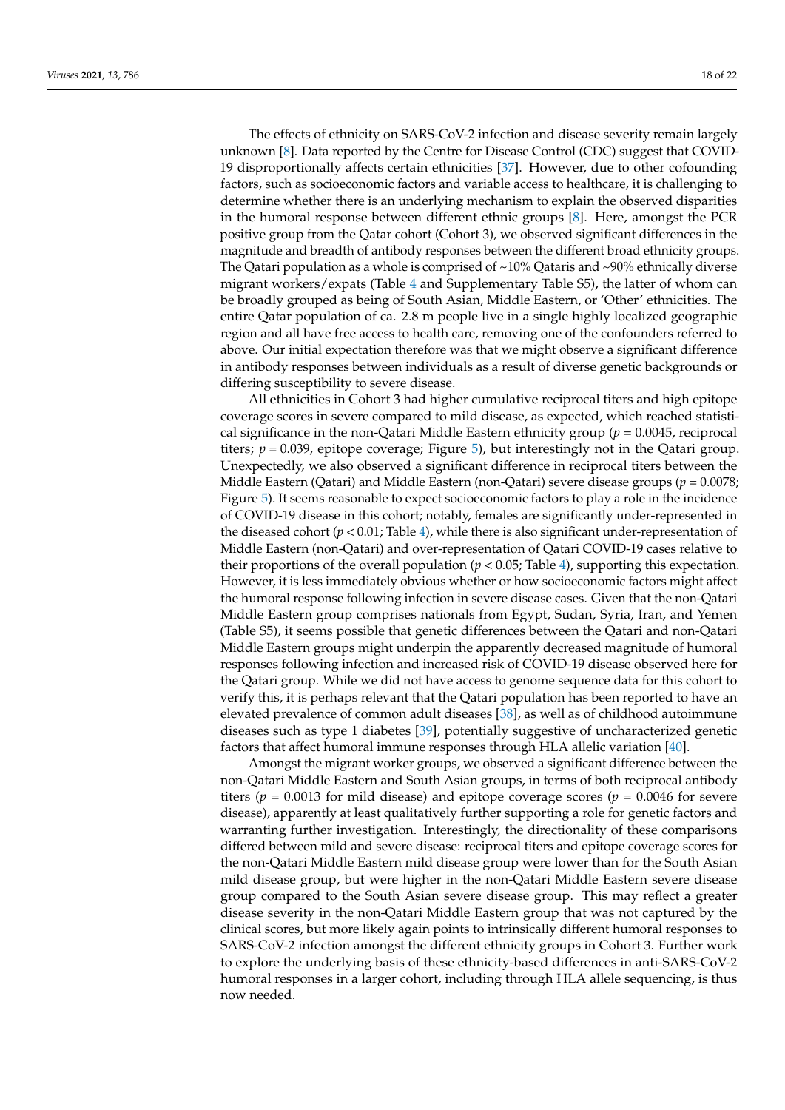The effects of ethnicity on SARS-CoV-2 infection and disease severity remain largely unknown [\[8\]](#page-19-7). Data reported by the Centre for Disease Control (CDC) suggest that COVID-19 disproportionally affects certain ethnicities [\[37\]](#page-20-21). However, due to other cofounding factors, such as socioeconomic factors and variable access to healthcare, it is challenging to determine whether there is an underlying mechanism to explain the observed disparities in the humoral response between different ethnic groups [\[8\]](#page-19-7). Here, amongst the PCR positive group from the Qatar cohort (Cohort 3), we observed significant differences in the magnitude and breadth of antibody responses between the different broad ethnicity groups. The Qatari population as a whole is comprised of  $\sim$ 10% Qataris and  $\sim$ 90% ethnically diverse migrant workers/expats (Table [4](#page-16-0) and Supplementary Table S5), the latter of whom can be broadly grouped as being of South Asian, Middle Eastern, or 'Other' ethnicities. The entire Qatar population of ca. 2.8 m people live in a single highly localized geographic region and all have free access to health care, removing one of the confounders referred to above. Our initial expectation therefore was that we might observe a significant difference in antibody responses between individuals as a result of diverse genetic backgrounds or differing susceptibility to severe disease.

All ethnicities in Cohort 3 had higher cumulative reciprocal titers and high epitope coverage scores in severe compared to mild disease, as expected, which reached statistical significance in the non-Qatari Middle Eastern ethnicity group (*p* = 0.0045, reciprocal titers;  $p = 0.039$ , epitope coverage; Figure [5\)](#page-14-0), but interestingly not in the Qatari group. Unexpectedly, we also observed a significant difference in reciprocal titers between the Middle Eastern (Qatari) and Middle Eastern (non-Qatari) severe disease groups ( $p = 0.0078$ ; Figure [5\)](#page-14-0). It seems reasonable to expect socioeconomic factors to play a role in the incidence of COVID-19 disease in this cohort; notably, females are significantly under-represented in the diseased cohort (*p* < 0.01; Table [4\)](#page-16-0), while there is also significant under-representation of Middle Eastern (non-Qatari) and over-representation of Qatari COVID-19 cases relative to their proportions of the overall population ( $p < 0.05$ ; Table [4\)](#page-16-0), supporting this expectation. However, it is less immediately obvious whether or how socioeconomic factors might affect the humoral response following infection in severe disease cases. Given that the non-Qatari Middle Eastern group comprises nationals from Egypt, Sudan, Syria, Iran, and Yemen (Table S5), it seems possible that genetic differences between the Qatari and non-Qatari Middle Eastern groups might underpin the apparently decreased magnitude of humoral responses following infection and increased risk of COVID-19 disease observed here for the Qatari group. While we did not have access to genome sequence data for this cohort to verify this, it is perhaps relevant that the Qatari population has been reported to have an elevated prevalence of common adult diseases [\[38\]](#page-20-22), as well as of childhood autoimmune diseases such as type 1 diabetes [\[39\]](#page-21-0), potentially suggestive of uncharacterized genetic factors that affect humoral immune responses through HLA allelic variation [\[40\]](#page-21-1).

Amongst the migrant worker groups, we observed a significant difference between the non-Qatari Middle Eastern and South Asian groups, in terms of both reciprocal antibody titers ( $p = 0.0013$  for mild disease) and epitope coverage scores ( $p = 0.0046$  for severe disease), apparently at least qualitatively further supporting a role for genetic factors and warranting further investigation. Interestingly, the directionality of these comparisons differed between mild and severe disease: reciprocal titers and epitope coverage scores for the non-Qatari Middle Eastern mild disease group were lower than for the South Asian mild disease group, but were higher in the non-Qatari Middle Eastern severe disease group compared to the South Asian severe disease group. This may reflect a greater disease severity in the non-Qatari Middle Eastern group that was not captured by the clinical scores, but more likely again points to intrinsically different humoral responses to SARS-CoV-2 infection amongst the different ethnicity groups in Cohort 3. Further work to explore the underlying basis of these ethnicity-based differences in anti-SARS-CoV-2 humoral responses in a larger cohort, including through HLA allele sequencing, is thus now needed.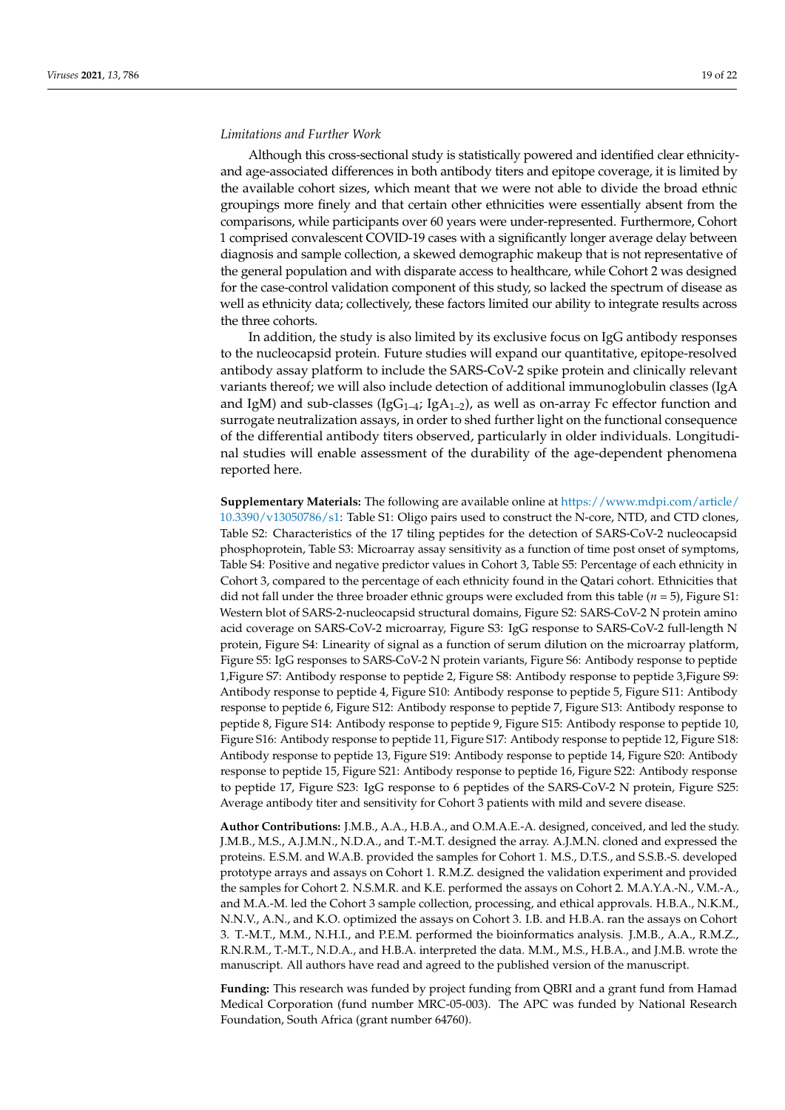#### *Limitations and Further Work*

Although this cross-sectional study is statistically powered and identified clear ethnicityand age-associated differences in both antibody titers and epitope coverage, it is limited by the available cohort sizes, which meant that we were not able to divide the broad ethnic groupings more finely and that certain other ethnicities were essentially absent from the comparisons, while participants over 60 years were under-represented. Furthermore, Cohort 1 comprised convalescent COVID-19 cases with a significantly longer average delay between diagnosis and sample collection, a skewed demographic makeup that is not representative of the general population and with disparate access to healthcare, while Cohort 2 was designed for the case-control validation component of this study, so lacked the spectrum of disease as well as ethnicity data; collectively, these factors limited our ability to integrate results across the three cohorts.

In addition, the study is also limited by its exclusive focus on IgG antibody responses to the nucleocapsid protein. Future studies will expand our quantitative, epitope-resolved antibody assay platform to include the SARS-CoV-2 spike protein and clinically relevant variants thereof; we will also include detection of additional immunoglobulin classes (IgA and IgM) and sub-classes (IgG<sub>1-4</sub>; IgA<sub>1-2</sub>), as well as on-array Fc effector function and surrogate neutralization assays, in order to shed further light on the functional consequence of the differential antibody titers observed, particularly in older individuals. Longitudinal studies will enable assessment of the durability of the age-dependent phenomena reported here.

**Supplementary Materials:** The following are available online at [https://www.mdpi.com/article/](https://www.mdpi.com/article/10.3390/v13050786/s1) [10.3390/v13050786/s1:](https://www.mdpi.com/article/10.3390/v13050786/s1) Table S1: Oligo pairs used to construct the N-core, NTD, and CTD clones, Table S2: Characteristics of the 17 tiling peptides for the detection of SARS-CoV-2 nucleocapsid phosphoprotein, Table S3: Microarray assay sensitivity as a function of time post onset of symptoms, Table S4: Positive and negative predictor values in Cohort 3, Table S5: Percentage of each ethnicity in Cohort 3, compared to the percentage of each ethnicity found in the Qatari cohort. Ethnicities that did not fall under the three broader ethnic groups were excluded from this table (*n* = 5), Figure S1: Western blot of SARS-2-nucleocapsid structural domains, Figure S2: SARS-CoV-2 N protein amino acid coverage on SARS-CoV-2 microarray, Figure S3: IgG response to SARS-CoV-2 full-length N protein, Figure S4: Linearity of signal as a function of serum dilution on the microarray platform, Figure S5: IgG responses to SARS-CoV-2 N protein variants, Figure S6: Antibody response to peptide 1,Figure S7: Antibody response to peptide 2, Figure S8: Antibody response to peptide 3,Figure S9: Antibody response to peptide 4, Figure S10: Antibody response to peptide 5, Figure S11: Antibody response to peptide 6, Figure S12: Antibody response to peptide 7, Figure S13: Antibody response to peptide 8, Figure S14: Antibody response to peptide 9, Figure S15: Antibody response to peptide 10, Figure S16: Antibody response to peptide 11, Figure S17: Antibody response to peptide 12, Figure S18: Antibody response to peptide 13, Figure S19: Antibody response to peptide 14, Figure S20: Antibody response to peptide 15, Figure S21: Antibody response to peptide 16, Figure S22: Antibody response to peptide 17, Figure S23: IgG response to 6 peptides of the SARS-CoV-2 N protein, Figure S25: Average antibody titer and sensitivity for Cohort 3 patients with mild and severe disease.

**Author Contributions:** J.M.B., A.A., H.B.A., and O.M.A.E.-A. designed, conceived, and led the study. J.M.B., M.S., A.J.M.N., N.D.A., and T.-M.T. designed the array. A.J.M.N. cloned and expressed the proteins. E.S.M. and W.A.B. provided the samples for Cohort 1. M.S., D.T.S., and S.S.B.-S. developed prototype arrays and assays on Cohort 1. R.M.Z. designed the validation experiment and provided the samples for Cohort 2. N.S.M.R. and K.E. performed the assays on Cohort 2. M.A.Y.A.-N., V.M.-A., and M.A.-M. led the Cohort 3 sample collection, processing, and ethical approvals. H.B.A., N.K.M., N.N.V., A.N., and K.O. optimized the assays on Cohort 3. I.B. and H.B.A. ran the assays on Cohort 3. T.-M.T., M.M., N.H.I., and P.E.M. performed the bioinformatics analysis. J.M.B., A.A., R.M.Z., R.N.R.M., T.-M.T., N.D.A., and H.B.A. interpreted the data. M.M., M.S., H.B.A., and J.M.B. wrote the manuscript. All authors have read and agreed to the published version of the manuscript.

**Funding:** This research was funded by project funding from QBRI and a grant fund from Hamad Medical Corporation (fund number MRC-05-003). The APC was funded by National Research Foundation, South Africa (grant number 64760).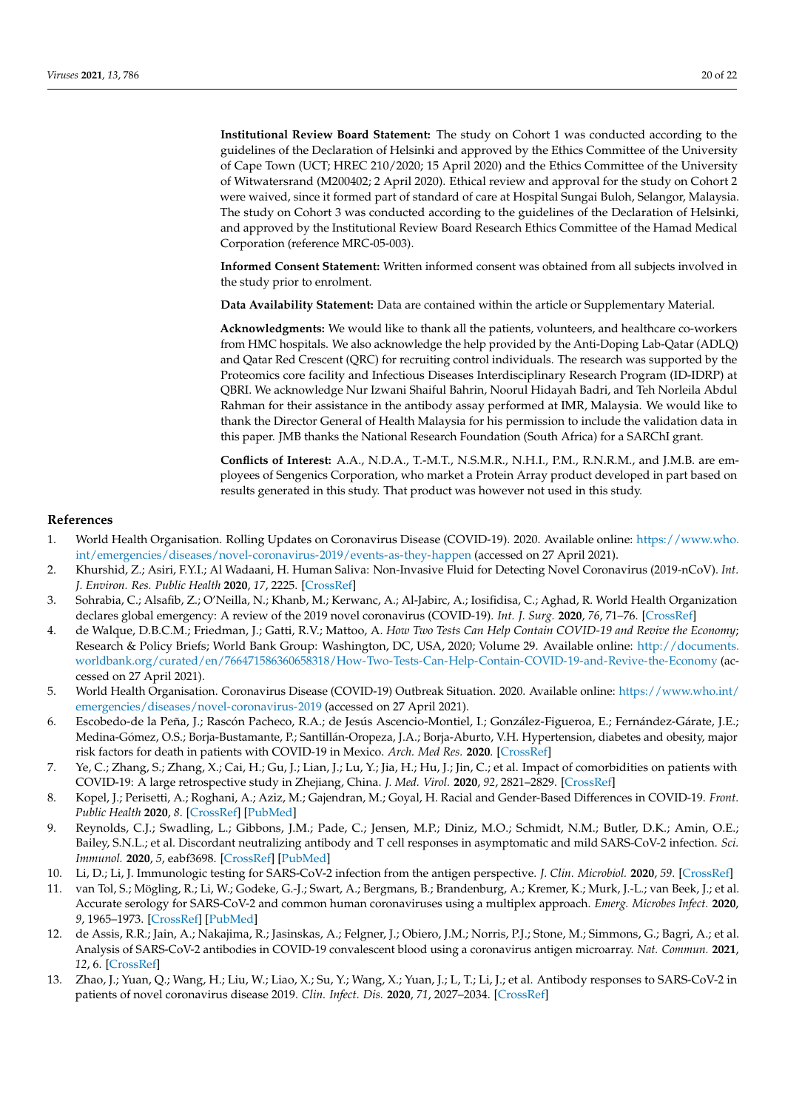**Institutional Review Board Statement:** The study on Cohort 1 was conducted according to the guidelines of the Declaration of Helsinki and approved by the Ethics Committee of the University of Cape Town (UCT; HREC 210/2020; 15 April 2020) and the Ethics Committee of the University of Witwatersrand (M200402; 2 April 2020). Ethical review and approval for the study on Cohort 2 were waived, since it formed part of standard of care at Hospital Sungai Buloh, Selangor, Malaysia. The study on Cohort 3 was conducted according to the guidelines of the Declaration of Helsinki, and approved by the Institutional Review Board Research Ethics Committee of the Hamad Medical Corporation (reference MRC-05-003).

**Informed Consent Statement:** Written informed consent was obtained from all subjects involved in the study prior to enrolment.

**Data Availability Statement:** Data are contained within the article or Supplementary Material.

**Acknowledgments:** We would like to thank all the patients, volunteers, and healthcare co-workers from HMC hospitals. We also acknowledge the help provided by the Anti-Doping Lab-Qatar (ADLQ) and Qatar Red Crescent (QRC) for recruiting control individuals. The research was supported by the Proteomics core facility and Infectious Diseases Interdisciplinary Research Program (ID-IDRP) at QBRI. We acknowledge Nur Izwani Shaiful Bahrin, Noorul Hidayah Badri, and Teh Norleila Abdul Rahman for their assistance in the antibody assay performed at IMR, Malaysia. We would like to thank the Director General of Health Malaysia for his permission to include the validation data in this paper. JMB thanks the National Research Foundation (South Africa) for a SARChI grant.

**Conflicts of Interest:** A.A., N.D.A., T.-M.T., N.S.M.R., N.H.I., P.M., R.N.R.M., and J.M.B. are employees of Sengenics Corporation, who market a Protein Array product developed in part based on results generated in this study. That product was however not used in this study.

#### **References**

- <span id="page-19-0"></span>1. World Health Organisation. Rolling Updates on Coronavirus Disease (COVID-19). 2020. Available online: [https://www.who.](https://www.who.int/emergencies/diseases/novel-coronavirus-2019/events-as-they-happen) [int/emergencies/diseases/novel-coronavirus-2019/events-as-they-happen](https://www.who.int/emergencies/diseases/novel-coronavirus-2019/events-as-they-happen) (accessed on 27 April 2021).
- <span id="page-19-1"></span>2. Khurshid, Z.; Asiri, F.Y.I.; Al Wadaani, H. Human Saliva: Non-Invasive Fluid for Detecting Novel Coronavirus (2019-nCoV). *Int. J. Environ. Res. Public Health* **2020**, *17*, 2225. [\[CrossRef\]](http://doi.org/10.3390/ijerph17072225)
- <span id="page-19-2"></span>3. Sohrabia, C.; Alsafib, Z.; O'Neilla, N.; Khanb, M.; Kerwanc, A.; Al-Jabirc, A.; Iosifidisa, C.; Aghad, R. World Health Organization declares global emergency: A review of the 2019 novel coronavirus (COVID-19). *Int. J. Surg.* **2020**, *76*, 71–76. [\[CrossRef\]](http://doi.org/10.1016/j.ijsu.2020.02.034)
- <span id="page-19-3"></span>4. de Walque, D.B.C.M.; Friedman, J.; Gatti, R.V.; Mattoo, A. *How Two Tests Can Help Contain COVID-19 and Revive the Economy*; Research & Policy Briefs; World Bank Group: Washington, DC, USA, 2020; Volume 29. Available online: [http://documents.](http://documents.worldbank.org/curated/en/766471586360658318/How-Two-Tests-Can-Help-Contain-COVID-19-and-Revive-the-Economy) [worldbank.org/curated/en/766471586360658318/How-Two-Tests-Can-Help-Contain-COVID-19-and-Revive-the-Economy](http://documents.worldbank.org/curated/en/766471586360658318/How-Two-Tests-Can-Help-Contain-COVID-19-and-Revive-the-Economy) (accessed on 27 April 2021).
- <span id="page-19-4"></span>5. World Health Organisation. Coronavirus Disease (COVID-19) Outbreak Situation. 2020. Available online: [https://www.who.int/](https://www.who.int/emergencies/diseases/novel-coronavirus-2019) [emergencies/diseases/novel-coronavirus-2019](https://www.who.int/emergencies/diseases/novel-coronavirus-2019) (accessed on 27 April 2021).
- <span id="page-19-5"></span>6. Escobedo-de la Peña, J.; Rascón Pacheco, R.A.; de Jesús Ascencio-Montiel, I.; González-Figueroa, E.; Fernández-Gárate, J.E.; Medina-Gómez, O.S.; Borja-Bustamante, P.; Santillán-Oropeza, J.A.; Borja-Aburto, V.H. Hypertension, diabetes and obesity, major risk factors for death in patients with COVID-19 in Mexico. *Arch. Med Res.* **2020**. [\[CrossRef\]](http://doi.org/10.1016/j.arcmed.2020.12.002)
- <span id="page-19-6"></span>7. Ye, C.; Zhang, S.; Zhang, X.; Cai, H.; Gu, J.; Lian, J.; Lu, Y.; Jia, H.; Hu, J.; Jin, C.; et al. Impact of comorbidities on patients with COVID-19: A large retrospective study in Zhejiang, China. *J. Med. Virol.* **2020**, *92*, 2821–2829. [\[CrossRef\]](http://doi.org/10.1002/jmv.26183)
- <span id="page-19-7"></span>8. Kopel, J.; Perisetti, A.; Roghani, A.; Aziz, M.; Gajendran, M.; Goyal, H. Racial and Gender-Based Differences in COVID-19. *Front. Public Health* **2020**, *8*. [\[CrossRef\]](http://doi.org/10.3389/fpubh.2020.00418) [\[PubMed\]](http://www.ncbi.nlm.nih.gov/pubmed/32850607)
- <span id="page-19-8"></span>9. Reynolds, C.J.; Swadling, L.; Gibbons, J.M.; Pade, C.; Jensen, M.P.; Diniz, M.O.; Schmidt, N.M.; Butler, D.K.; Amin, O.E.; Bailey, S.N.L.; et al. Discordant neutralizing antibody and T cell responses in asymptomatic and mild SARS-CoV-2 infection. *Sci. Immunol.* **2020**, *5*, eabf3698. [\[CrossRef\]](http://doi.org/10.1126/sciimmunol.abf3698) [\[PubMed\]](http://www.ncbi.nlm.nih.gov/pubmed/33361161)
- <span id="page-19-9"></span>10. Li, D.; Li, J. Immunologic testing for SARS-CoV-2 infection from the antigen perspective. *J. Clin. Microbiol.* **2020**, *59*. [\[CrossRef\]](http://doi.org/10.1128/JCM.02160-20)
- 11. van Tol, S.; Mögling, R.; Li, W.; Godeke, G.-J.; Swart, A.; Bergmans, B.; Brandenburg, A.; Kremer, K.; Murk, J.-L.; van Beek, J.; et al. Accurate serology for SARS-CoV-2 and common human coronaviruses using a multiplex approach. *Emerg. Microbes Infect.* **2020**, *9*, 1965–1973. [\[CrossRef\]](http://doi.org/10.1080/22221751.2020.1813636) [\[PubMed\]](http://www.ncbi.nlm.nih.gov/pubmed/32819220)
- <span id="page-19-10"></span>12. de Assis, R.R.; Jain, A.; Nakajima, R.; Jasinskas, A.; Felgner, J.; Obiero, J.M.; Norris, P.J.; Stone, M.; Simmons, G.; Bagri, A.; et al. Analysis of SARS-CoV-2 antibodies in COVID-19 convalescent blood using a coronavirus antigen microarray. *Nat. Commun.* **2021**, *12*, 6. [\[CrossRef\]](http://doi.org/10.1038/s41467-020-20095-2)
- <span id="page-19-11"></span>13. Zhao, J.; Yuan, Q.; Wang, H.; Liu, W.; Liao, X.; Su, Y.; Wang, X.; Yuan, J.; L, T.; Li, J.; et al. Antibody responses to SARS-CoV-2 in patients of novel coronavirus disease 2019. *Clin. Infect. Dis.* **2020**, *71*, 2027–2034. [\[CrossRef\]](http://doi.org/10.1093/cid/ciaa344)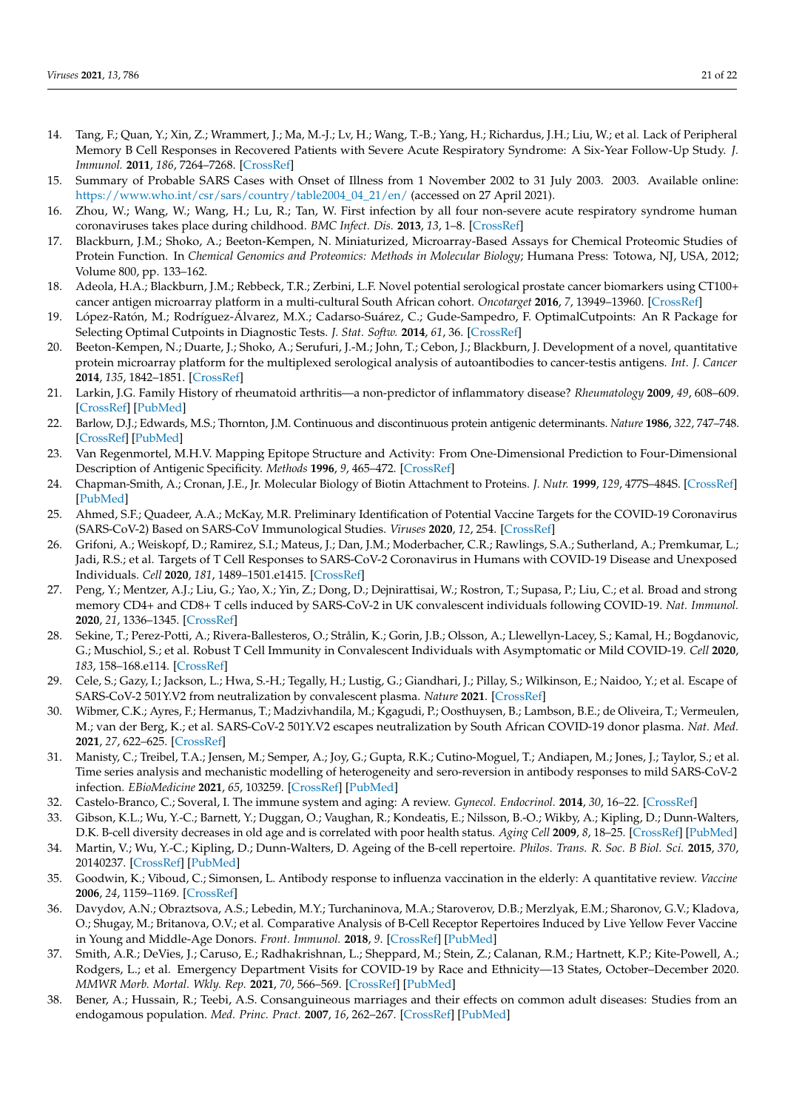- <span id="page-20-0"></span>14. Tang, F.; Quan, Y.; Xin, Z.; Wrammert, J.; Ma, M.-J.; Lv, H.; Wang, T.-B.; Yang, H.; Richardus, J.H.; Liu, W.; et al. Lack of Peripheral Memory B Cell Responses in Recovered Patients with Severe Acute Respiratory Syndrome: A Six-Year Follow-Up Study. *J. Immunol.* **2011**, *186*, 7264–7268. [\[CrossRef\]](http://doi.org/10.4049/jimmunol.0903490)
- <span id="page-20-1"></span>15. Summary of Probable SARS Cases with Onset of Illness from 1 November 2002 to 31 July 2003. 2003. Available online: [https://www.who.int/csr/sars/country/table2004\\_04\\_21/en/](https://www.who.int/csr/sars/country/table2004_04_21/en/) (accessed on 27 April 2021).
- <span id="page-20-2"></span>16. Zhou, W.; Wang, W.; Wang, H.; Lu, R.; Tan, W. First infection by all four non-severe acute respiratory syndrome human coronaviruses takes place during childhood. *BMC Infect. Dis.* **2013**, *13*, 1–8. [\[CrossRef\]](http://doi.org/10.1186/1471-2334-13-433)
- <span id="page-20-3"></span>17. Blackburn, J.M.; Shoko, A.; Beeton-Kempen, N. Miniaturized, Microarray-Based Assays for Chemical Proteomic Studies of Protein Function. In *Chemical Genomics and Proteomics: Methods in Molecular Biology*; Humana Press: Totowa, NJ, USA, 2012; Volume 800, pp. 133–162.
- <span id="page-20-4"></span>18. Adeola, H.A.; Blackburn, J.M.; Rebbeck, T.R.; Zerbini, L.F. Novel potential serological prostate cancer biomarkers using CT100+ cancer antigen microarray platform in a multi-cultural South African cohort. *Oncotarget* **2016**, *7*, 13949–13960. [\[CrossRef\]](http://doi.org/10.18632/oncotarget.7359)
- <span id="page-20-5"></span>19. López-Ratón, M.; Rodríguez-Álvarez, M.X.; Cadarso-Suárez, C.; Gude-Sampedro, F. OptimalCutpoints: An R Package for Selecting Optimal Cutpoints in Diagnostic Tests. *J. Stat. Softw.* **2014**, *61*, 36. [\[CrossRef\]](http://doi.org/10.18637/jss.v061.i08)
- <span id="page-20-6"></span>20. Beeton-Kempen, N.; Duarte, J.; Shoko, A.; Serufuri, J.-M.; John, T.; Cebon, J.; Blackburn, J. Development of a novel, quantitative protein microarray platform for the multiplexed serological analysis of autoantibodies to cancer-testis antigens. *Int. J. Cancer* **2014**, *135*, 1842–1851. [\[CrossRef\]](http://doi.org/10.1002/ijc.28832)
- <span id="page-20-7"></span>21. Larkin, J.G. Family History of rheumatoid arthritis—a non-predictor of inflammatory disease? *Rheumatology* **2009**, *49*, 608–609. [\[CrossRef\]](http://doi.org/10.1093/rheumatology/kep386) [\[PubMed\]](http://www.ncbi.nlm.nih.gov/pubmed/19965975)
- <span id="page-20-8"></span>22. Barlow, D.J.; Edwards, M.S.; Thornton, J.M. Continuous and discontinuous protein antigenic determinants. *Nature* **1986**, *322*, 747–748. [\[CrossRef\]](http://doi.org/10.1038/322747a0) [\[PubMed\]](http://www.ncbi.nlm.nih.gov/pubmed/2427953)
- <span id="page-20-9"></span>23. Van Regenmortel, M.H.V. Mapping Epitope Structure and Activity: From One-Dimensional Prediction to Four-Dimensional Description of Antigenic Specificity. *Methods* **1996**, *9*, 465–472. [\[CrossRef\]](http://doi.org/10.1006/meth.1996.0054)
- <span id="page-20-10"></span>24. Chapman-Smith, A.; Cronan, J.E., Jr. Molecular Biology of Biotin Attachment to Proteins. *J. Nutr.* **1999**, *129*, 477S–484S. [\[CrossRef\]](http://doi.org/10.1093/jn/129.2.477S) [\[PubMed\]](http://www.ncbi.nlm.nih.gov/pubmed/10064313)
- <span id="page-20-11"></span>25. Ahmed, S.F.; Quadeer, A.A.; McKay, M.R. Preliminary Identification of Potential Vaccine Targets for the COVID-19 Coronavirus (SARS-CoV-2) Based on SARS-CoV Immunological Studies. *Viruses* **2020**, *12*, 254. [\[CrossRef\]](http://doi.org/10.3390/v12030254)
- <span id="page-20-12"></span>26. Grifoni, A.; Weiskopf, D.; Ramirez, S.I.; Mateus, J.; Dan, J.M.; Moderbacher, C.R.; Rawlings, S.A.; Sutherland, A.; Premkumar, L.; Jadi, R.S.; et al. Targets of T Cell Responses to SARS-CoV-2 Coronavirus in Humans with COVID-19 Disease and Unexposed Individuals. *Cell* **2020**, *181*, 1489–1501.e1415. [\[CrossRef\]](http://doi.org/10.1016/j.cell.2020.05.015)
- 27. Peng, Y.; Mentzer, A.J.; Liu, G.; Yao, X.; Yin, Z.; Dong, D.; Dejnirattisai, W.; Rostron, T.; Supasa, P.; Liu, C.; et al. Broad and strong memory CD4+ and CD8+ T cells induced by SARS-CoV-2 in UK convalescent individuals following COVID-19. *Nat. Immunol.* **2020**, *21*, 1336–1345. [\[CrossRef\]](http://doi.org/10.1038/s41590-020-0782-6)
- <span id="page-20-13"></span>28. Sekine, T.; Perez-Potti, A.; Rivera-Ballesteros, O.; Strålin, K.; Gorin, J.B.; Olsson, A.; Llewellyn-Lacey, S.; Kamal, H.; Bogdanovic, G.; Muschiol, S.; et al. Robust T Cell Immunity in Convalescent Individuals with Asymptomatic or Mild COVID-19. *Cell* **2020**, *183*, 158–168.e114. [\[CrossRef\]](http://doi.org/10.1016/j.cell.2020.08.017)
- <span id="page-20-14"></span>29. Cele, S.; Gazy, I.; Jackson, L.; Hwa, S.-H.; Tegally, H.; Lustig, G.; Giandhari, J.; Pillay, S.; Wilkinson, E.; Naidoo, Y.; et al. Escape of SARS-CoV-2 501Y.V2 from neutralization by convalescent plasma. *Nature* **2021**. [\[CrossRef\]](http://doi.org/10.1038/s41586-021-03471-w)
- <span id="page-20-15"></span>30. Wibmer, C.K.; Ayres, F.; Hermanus, T.; Madzivhandila, M.; Kgagudi, P.; Oosthuysen, B.; Lambson, B.E.; de Oliveira, T.; Vermeulen, M.; van der Berg, K.; et al. SARS-CoV-2 501Y.V2 escapes neutralization by South African COVID-19 donor plasma. *Nat. Med.* **2021**, *27*, 622–625. [\[CrossRef\]](http://doi.org/10.1038/s41591-021-01285-x)
- <span id="page-20-16"></span>31. Manisty, C.; Treibel, T.A.; Jensen, M.; Semper, A.; Joy, G.; Gupta, R.K.; Cutino-Moguel, T.; Andiapen, M.; Jones, J.; Taylor, S.; et al. Time series analysis and mechanistic modelling of heterogeneity and sero-reversion in antibody responses to mild SARS-CoV-2 infection. *EBioMedicine* **2021**, *65*, 103259. [\[CrossRef\]](http://doi.org/10.1016/j.ebiom.2021.103259) [\[PubMed\]](http://www.ncbi.nlm.nih.gov/pubmed/33662833)
- <span id="page-20-17"></span>32. Castelo-Branco, C.; Soveral, I. The immune system and aging: A review. *Gynecol. Endocrinol.* **2014**, *30*, 16–22. [\[CrossRef\]](http://doi.org/10.3109/09513590.2013.852531)
- <span id="page-20-18"></span>33. Gibson, K.L.; Wu, Y.-C.; Barnett, Y.; Duggan, O.; Vaughan, R.; Kondeatis, E.; Nilsson, B.-O.; Wikby, A.; Kipling, D.; Dunn-Walters, D.K. B-cell diversity decreases in old age and is correlated with poor health status. *Aging Cell* **2009**, *8*, 18–25. [\[CrossRef\]](http://doi.org/10.1111/j.1474-9726.2008.00443.x) [\[PubMed\]](http://www.ncbi.nlm.nih.gov/pubmed/18986373)
- <span id="page-20-19"></span>34. Martin, V.; Wu, Y.-C.; Kipling, D.; Dunn-Walters, D. Ageing of the B-cell repertoire. *Philos. Trans. R. Soc. B Biol. Sci.* **2015**, *370*, 20140237. [\[CrossRef\]](http://doi.org/10.1098/rstb.2014.0237) [\[PubMed\]](http://www.ncbi.nlm.nih.gov/pubmed/26194751)
- 35. Goodwin, K.; Viboud, C.; Simonsen, L. Antibody response to influenza vaccination in the elderly: A quantitative review. *Vaccine* **2006**, *24*, 1159–1169. [\[CrossRef\]](http://doi.org/10.1016/j.vaccine.2005.08.105)
- <span id="page-20-20"></span>36. Davydov, A.N.; Obraztsova, A.S.; Lebedin, M.Y.; Turchaninova, M.A.; Staroverov, D.B.; Merzlyak, E.M.; Sharonov, G.V.; Kladova, O.; Shugay, M.; Britanova, O.V.; et al. Comparative Analysis of B-Cell Receptor Repertoires Induced by Live Yellow Fever Vaccine in Young and Middle-Age Donors. *Front. Immunol.* **2018**, *9*. [\[CrossRef\]](http://doi.org/10.3389/fimmu.2018.02309) [\[PubMed\]](http://www.ncbi.nlm.nih.gov/pubmed/30356675)
- <span id="page-20-21"></span>37. Smith, A.R.; DeVies, J.; Caruso, E.; Radhakrishnan, L.; Sheppard, M.; Stein, Z.; Calanan, R.M.; Hartnett, K.P.; Kite-Powell, A.; Rodgers, L.; et al. Emergency Department Visits for COVID-19 by Race and Ethnicity—13 States, October–December 2020. *MMWR Morb. Mortal. Wkly. Rep.* **2021**, *70*, 566–569. [\[CrossRef\]](http://doi.org/10.15585/mmwr.mm7015e3) [\[PubMed\]](http://www.ncbi.nlm.nih.gov/pubmed/33857062)
- <span id="page-20-22"></span>38. Bener, A.; Hussain, R.; Teebi, A.S. Consanguineous marriages and their effects on common adult diseases: Studies from an endogamous population. *Med. Princ. Pract.* **2007**, *16*, 262–267. [\[CrossRef\]](http://doi.org/10.1159/000102147) [\[PubMed\]](http://www.ncbi.nlm.nih.gov/pubmed/17541290)